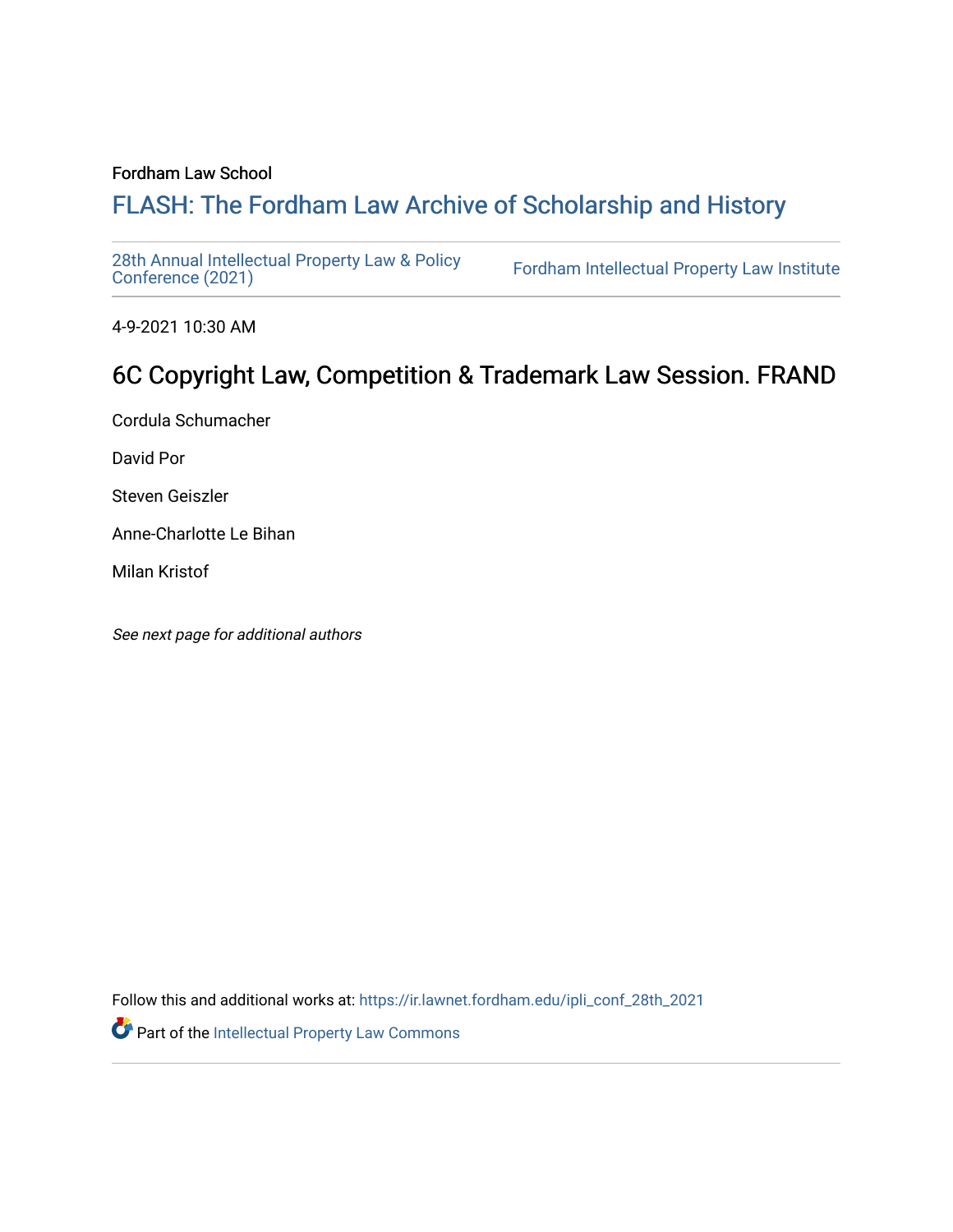#### Fordham Law School

# FLASH: The For[dham Law Archive of Scholarship and Hist](https://ir.lawnet.fordham.edu/)ory

[28th Annual Intellectual Property Law & Policy](https://ir.lawnet.fordham.edu/ipli_conf_28th_2021)<br>Conference (2021)

Fordham Intellectual Property Law Institute

4-9-2021 10:30 AM

# 6C Copyright Law, Competition & Trademark Law Session. FRAND

Cordula Schumacher

David Por

Steven Geiszler

Anne-Charlotte Le Bihan

Milan Kristof

See next page for additional authors

Follow this and additional works at: [https://ir.lawnet.fordham.edu/ipli\\_conf\\_28th\\_2021](https://ir.lawnet.fordham.edu/ipli_conf_28th_2021?utm_source=ir.lawnet.fordham.edu%2Fipli_conf_28th_2021%2F19&utm_medium=PDF&utm_campaign=PDFCoverPages) 

Part of the [Intellectual Property Law Commons](http://network.bepress.com/hgg/discipline/896?utm_source=ir.lawnet.fordham.edu%2Fipli_conf_28th_2021%2F19&utm_medium=PDF&utm_campaign=PDFCoverPages)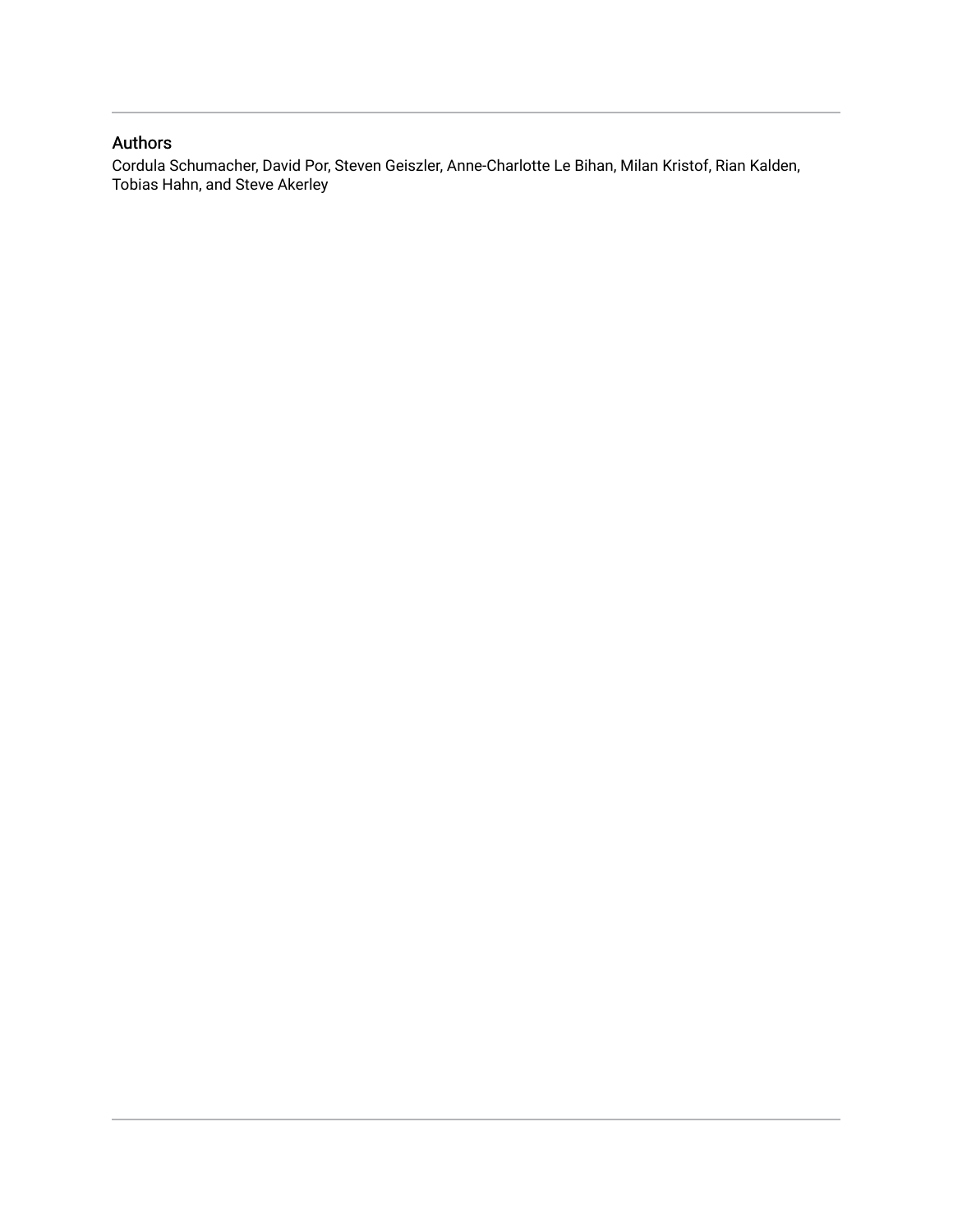## Authors

Cordula Schumacher, David Por, Steven Geiszler, Anne-Charlotte Le Bihan, Milan Kristof, Rian Kalden, Tobias Hahn, and Steve Akerley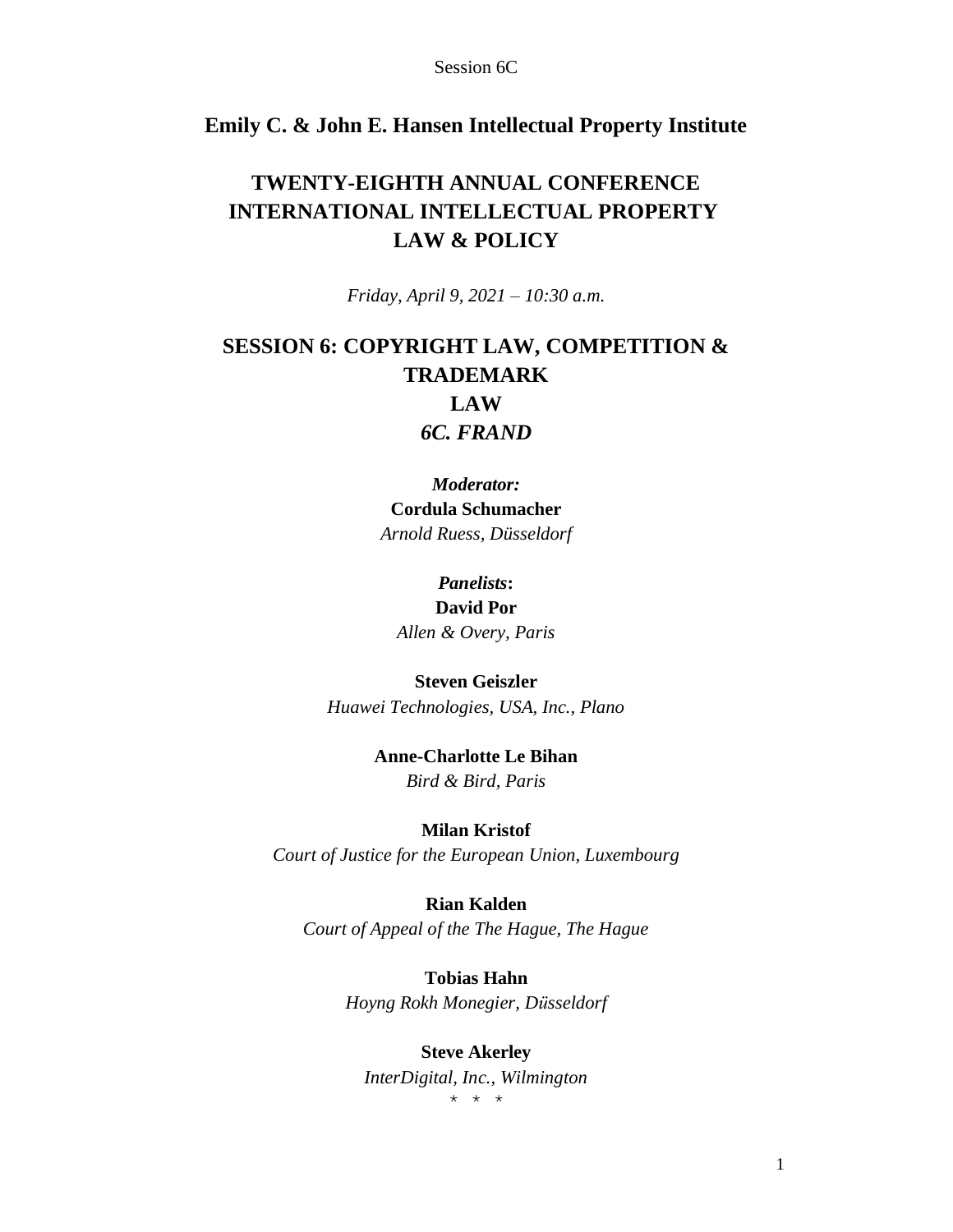## **Emily C. & John E. Hansen Intellectual Property Institute**

## **TWENTY-EIGHTH ANNUAL CONFERENCE INTERNATIONAL INTELLECTUAL PROPERTY LAW & POLICY**

*Friday, April 9, 2021 – 10:30 a.m.*

## **SESSION 6: COPYRIGHT LAW, COMPETITION & TRADEMARK LAW** *6C. FRAND*

*Moderator:* **Cordula Schumacher** *Arnold Ruess, Düsseldorf*

## *Panelists***: David Por** *Allen & Overy, Paris*

## **Steven Geiszler** *Huawei Technologies, USA, Inc., Plano*

## **Anne-Charlotte Le Bihan** *Bird & Bird, Paris*

### **Milan Kristof** *Court of Justice for the European Union, Luxembourg*

**Rian Kalden** *Court of Appeal of the The Hague, The Hague*

> **Tobias Hahn** *Hoyng Rokh Monegier, Düsseldorf*

#### **Steve Akerley**

*InterDigital, Inc., Wilmington* \* \* \*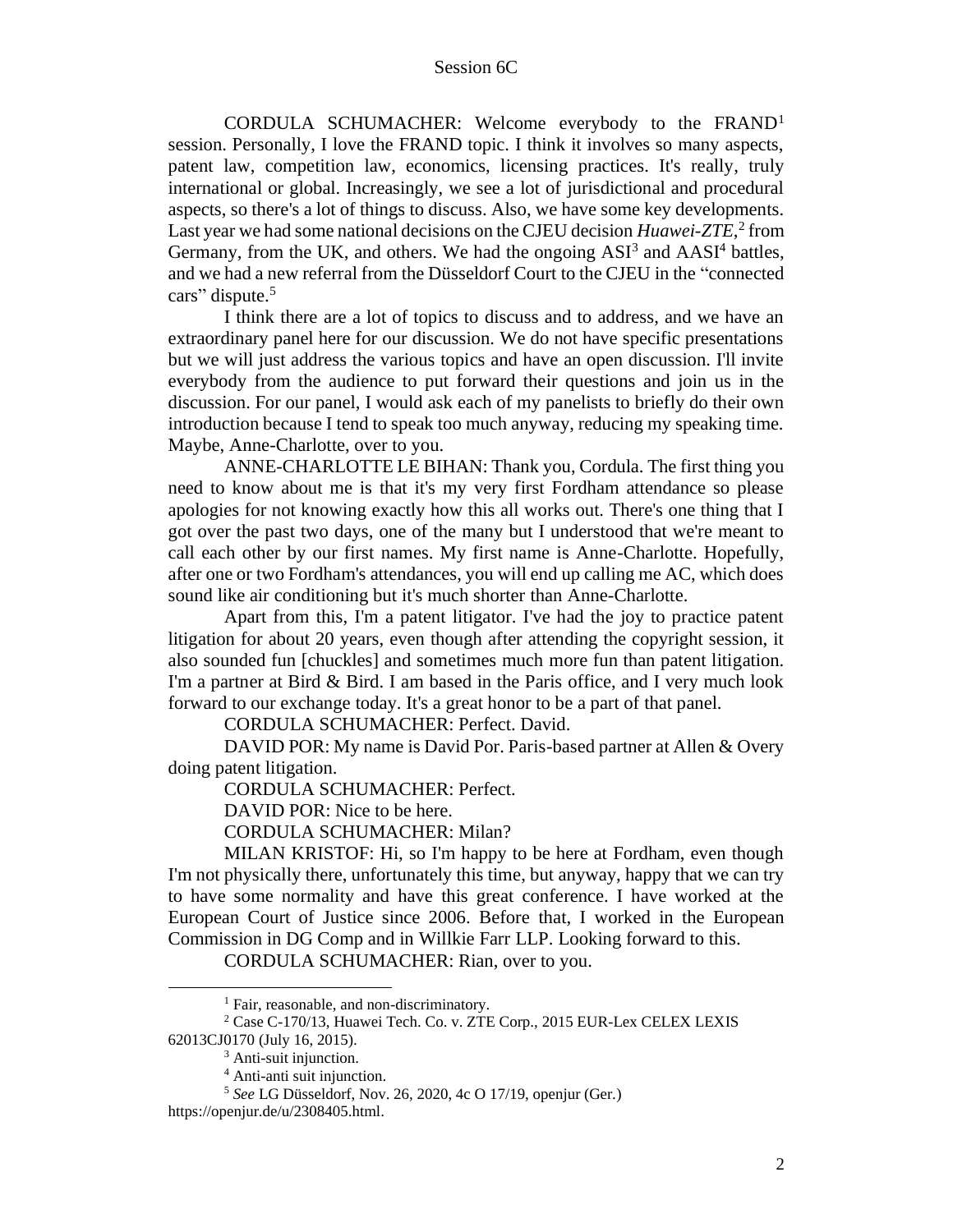CORDULA SCHUMACHER: Welcome everybody to the FRAND<sup>1</sup> session. Personally, I love the FRAND topic. I think it involves so many aspects, patent law, competition law, economics, licensing practices. It's really, truly international or global. Increasingly, we see a lot of jurisdictional and procedural aspects, so there's a lot of things to discuss. Also, we have some key developments. Last year we had some national decisions on the CJEU decision *Huawei-ZTE*,<sup>2</sup> from Germany, from the UK, and others. We had the ongoing  $ASI<sup>3</sup>$  and  $AASI<sup>4</sup>$  battles, and we had a new referral from the Düsseldorf Court to the CJEU in the "connected cars" dispute.<sup>5</sup>

I think there are a lot of topics to discuss and to address, and we have an extraordinary panel here for our discussion. We do not have specific presentations but we will just address the various topics and have an open discussion. I'll invite everybody from the audience to put forward their questions and join us in the discussion. For our panel, I would ask each of my panelists to briefly do their own introduction because I tend to speak too much anyway, reducing my speaking time. Maybe, Anne-Charlotte, over to you.

ANNE-CHARLOTTE LE BIHAN: Thank you, Cordula. The first thing you need to know about me is that it's my very first Fordham attendance so please apologies for not knowing exactly how this all works out. There's one thing that I got over the past two days, one of the many but I understood that we're meant to call each other by our first names. My first name is Anne-Charlotte. Hopefully, after one or two Fordham's attendances, you will end up calling me AC, which does sound like air conditioning but it's much shorter than Anne-Charlotte.

Apart from this, I'm a patent litigator. I've had the joy to practice patent litigation for about 20 years, even though after attending the copyright session, it also sounded fun [chuckles] and sometimes much more fun than patent litigation. I'm a partner at Bird & Bird. I am based in the Paris office, and I very much look forward to our exchange today. It's a great honor to be a part of that panel.

CORDULA SCHUMACHER: Perfect. David.

DAVID POR: My name is David Por. Paris-based partner at Allen & Overy doing patent litigation.

CORDULA SCHUMACHER: Perfect.

DAVID POR: Nice to be here.

CORDULA SCHUMACHER: Milan?

MILAN KRISTOF: Hi, so I'm happy to be here at Fordham, even though I'm not physically there, unfortunately this time, but anyway, happy that we can try to have some normality and have this great conference. I have worked at the European Court of Justice since 2006. Before that, I worked in the European Commission in DG Comp and in Willkie Farr LLP. Looking forward to this.

CORDULA SCHUMACHER: Rian, over to you.

<sup>&</sup>lt;sup>1</sup> Fair, reasonable, and non-discriminatory.

<sup>2</sup> Case C-170/13, Huawei Tech. Co. v. ZTE Corp., 2015 EUR-Lex CELEX LEXIS 62013CJ0170 (July 16, 2015).

<sup>&</sup>lt;sup>3</sup> Anti-suit injunction.

<sup>4</sup> Anti-anti suit injunction.

<sup>5</sup> *See* LG Düsseldorf, Nov. 26, 2020, 4c O 17/19, openjur (Ger.)

https://openjur.de/u/2308405.html.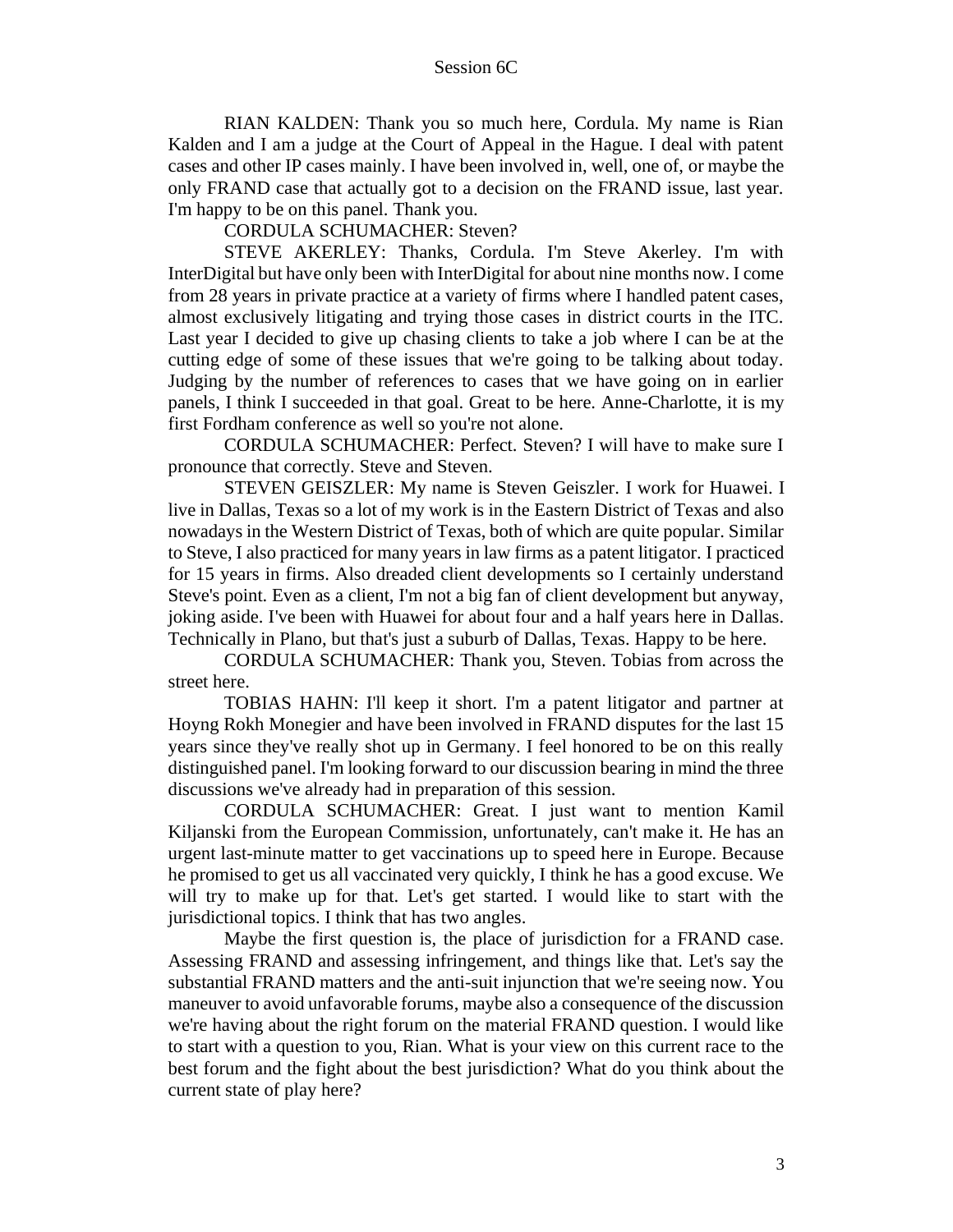RIAN KALDEN: Thank you so much here, Cordula. My name is Rian Kalden and I am a judge at the Court of Appeal in the Hague. I deal with patent cases and other IP cases mainly. I have been involved in, well, one of, or maybe the only FRAND case that actually got to a decision on the FRAND issue, last year. I'm happy to be on this panel. Thank you.

CORDULA SCHUMACHER: Steven?

STEVE AKERLEY: Thanks, Cordula. I'm Steve Akerley. I'm with InterDigital but have only been with InterDigital for about nine months now. I come from 28 years in private practice at a variety of firms where I handled patent cases, almost exclusively litigating and trying those cases in district courts in the ITC. Last year I decided to give up chasing clients to take a job where I can be at the cutting edge of some of these issues that we're going to be talking about today. Judging by the number of references to cases that we have going on in earlier panels, I think I succeeded in that goal. Great to be here. Anne-Charlotte, it is my first Fordham conference as well so you're not alone.

CORDULA SCHUMACHER: Perfect. Steven? I will have to make sure I pronounce that correctly. Steve and Steven.

STEVEN GEISZLER: My name is Steven Geiszler. I work for Huawei. I live in Dallas, Texas so a lot of my work is in the Eastern District of Texas and also nowadays in the Western District of Texas, both of which are quite popular. Similar to Steve, I also practiced for many years in law firms as a patent litigator. I practiced for 15 years in firms. Also dreaded client developments so I certainly understand Steve's point. Even as a client, I'm not a big fan of client development but anyway, joking aside. I've been with Huawei for about four and a half years here in Dallas. Technically in Plano, but that's just a suburb of Dallas, Texas. Happy to be here.

CORDULA SCHUMACHER: Thank you, Steven. Tobias from across the street here.

TOBIAS HAHN: I'll keep it short. I'm a patent litigator and partner at Hoyng Rokh Monegier and have been involved in FRAND disputes for the last 15 years since they've really shot up in Germany. I feel honored to be on this really distinguished panel. I'm looking forward to our discussion bearing in mind the three discussions we've already had in preparation of this session.

CORDULA SCHUMACHER: Great. I just want to mention Kamil Kiljanski from the European Commission, unfortunately, can't make it. He has an urgent last-minute matter to get vaccinations up to speed here in Europe. Because he promised to get us all vaccinated very quickly, I think he has a good excuse. We will try to make up for that. Let's get started. I would like to start with the jurisdictional topics. I think that has two angles.

Maybe the first question is, the place of jurisdiction for a FRAND case. Assessing FRAND and assessing infringement, and things like that. Let's say the substantial FRAND matters and the anti-suit injunction that we're seeing now. You maneuver to avoid unfavorable forums, maybe also a consequence of the discussion we're having about the right forum on the material FRAND question. I would like to start with a question to you, Rian. What is your view on this current race to the best forum and the fight about the best jurisdiction? What do you think about the current state of play here?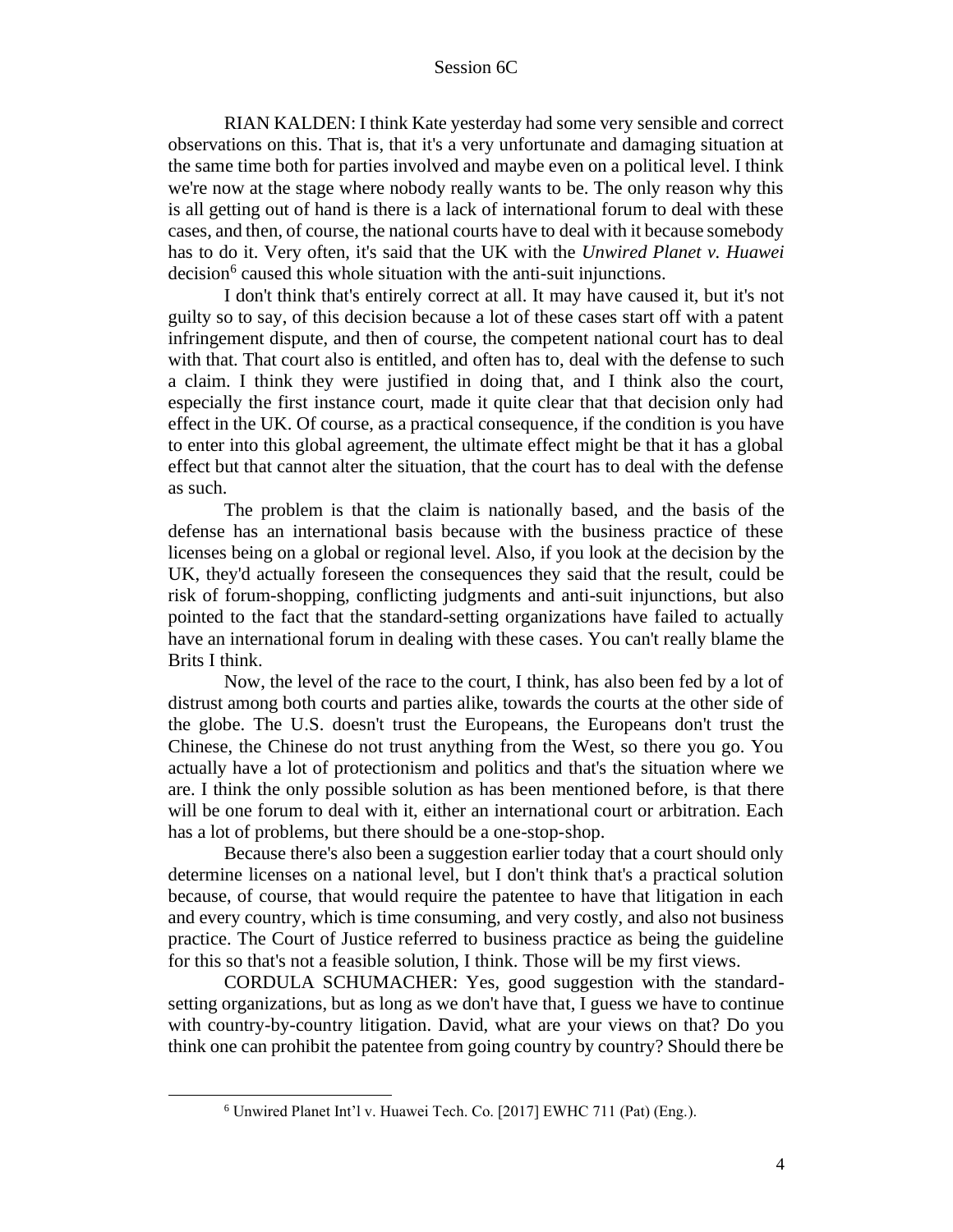RIAN KALDEN: I think Kate yesterday had some very sensible and correct observations on this. That is, that it's a very unfortunate and damaging situation at the same time both for parties involved and maybe even on a political level. I think we're now at the stage where nobody really wants to be. The only reason why this is all getting out of hand is there is a lack of international forum to deal with these cases, and then, of course, the national courts have to deal with it because somebody has to do it. Very often, it's said that the UK with the *Unwired Planet v. Huawei*  decision<sup>6</sup> caused this whole situation with the anti-suit injunctions.

I don't think that's entirely correct at all. It may have caused it, but it's not guilty so to say, of this decision because a lot of these cases start off with a patent infringement dispute, and then of course, the competent national court has to deal with that. That court also is entitled, and often has to, deal with the defense to such a claim. I think they were justified in doing that, and I think also the court, especially the first instance court, made it quite clear that that decision only had effect in the UK. Of course, as a practical consequence, if the condition is you have to enter into this global agreement, the ultimate effect might be that it has a global effect but that cannot alter the situation, that the court has to deal with the defense as such.

The problem is that the claim is nationally based, and the basis of the defense has an international basis because with the business practice of these licenses being on a global or regional level. Also, if you look at the decision by the UK, they'd actually foreseen the consequences they said that the result, could be risk of forum-shopping, conflicting judgments and anti-suit injunctions, but also pointed to the fact that the standard-setting organizations have failed to actually have an international forum in dealing with these cases. You can't really blame the Brits I think.

Now, the level of the race to the court, I think, has also been fed by a lot of distrust among both courts and parties alike, towards the courts at the other side of the globe. The U.S. doesn't trust the Europeans, the Europeans don't trust the Chinese, the Chinese do not trust anything from the West, so there you go. You actually have a lot of protectionism and politics and that's the situation where we are. I think the only possible solution as has been mentioned before, is that there will be one forum to deal with it, either an international court or arbitration. Each has a lot of problems, but there should be a one-stop-shop.

Because there's also been a suggestion earlier today that a court should only determine licenses on a national level, but I don't think that's a practical solution because, of course, that would require the patentee to have that litigation in each and every country, which is time consuming, and very costly, and also not business practice. The Court of Justice referred to business practice as being the guideline for this so that's not a feasible solution, I think. Those will be my first views.

CORDULA SCHUMACHER: Yes, good suggestion with the standardsetting organizations, but as long as we don't have that, I guess we have to continue with country-by-country litigation. David, what are your views on that? Do you think one can prohibit the patentee from going country by country? Should there be

<sup>6</sup> Unwired Planet Int'l v. Huawei Tech. Co. [2017] EWHC 711 (Pat) (Eng.).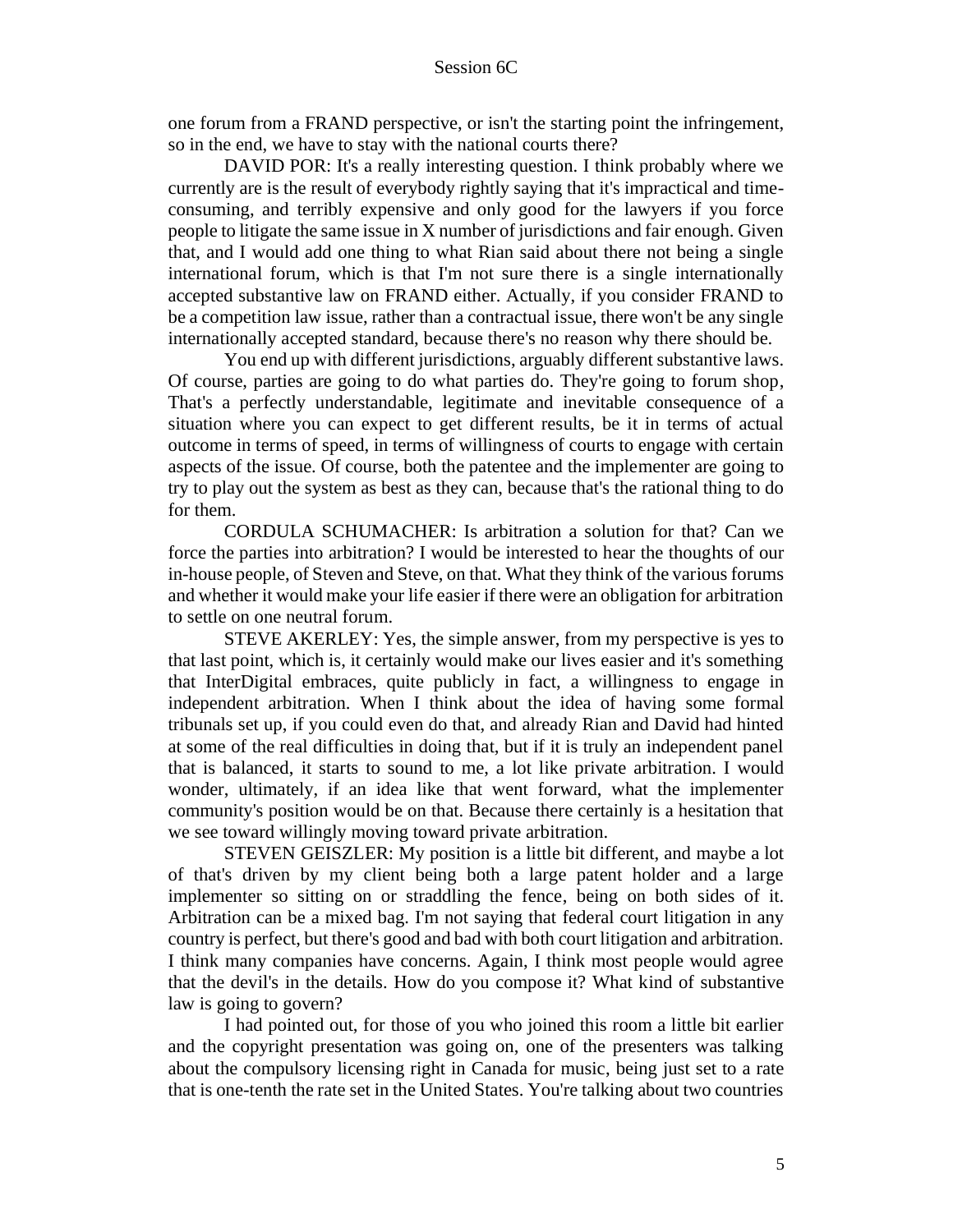one forum from a FRAND perspective, or isn't the starting point the infringement, so in the end, we have to stay with the national courts there?

DAVID POR: It's a really interesting question. I think probably where we currently are is the result of everybody rightly saying that it's impractical and timeconsuming, and terribly expensive and only good for the lawyers if you force people to litigate the same issue in X number of jurisdictions and fair enough. Given that, and I would add one thing to what Rian said about there not being a single international forum, which is that I'm not sure there is a single internationally accepted substantive law on FRAND either. Actually, if you consider FRAND to be a competition law issue, rather than a contractual issue, there won't be any single internationally accepted standard, because there's no reason why there should be.

You end up with different jurisdictions, arguably different substantive laws. Of course, parties are going to do what parties do. They're going to forum shop, That's a perfectly understandable, legitimate and inevitable consequence of a situation where you can expect to get different results, be it in terms of actual outcome in terms of speed, in terms of willingness of courts to engage with certain aspects of the issue. Of course, both the patentee and the implementer are going to try to play out the system as best as they can, because that's the rational thing to do for them.

CORDULA SCHUMACHER: Is arbitration a solution for that? Can we force the parties into arbitration? I would be interested to hear the thoughts of our in-house people, of Steven and Steve, on that. What they think of the various forums and whether it would make your life easier if there were an obligation for arbitration to settle on one neutral forum.

STEVE AKERLEY: Yes, the simple answer, from my perspective is yes to that last point, which is, it certainly would make our lives easier and it's something that InterDigital embraces, quite publicly in fact, a willingness to engage in independent arbitration. When I think about the idea of having some formal tribunals set up, if you could even do that, and already Rian and David had hinted at some of the real difficulties in doing that, but if it is truly an independent panel that is balanced, it starts to sound to me, a lot like private arbitration. I would wonder, ultimately, if an idea like that went forward, what the implementer community's position would be on that. Because there certainly is a hesitation that we see toward willingly moving toward private arbitration.

STEVEN GEISZLER: My position is a little bit different, and maybe a lot of that's driven by my client being both a large patent holder and a large implementer so sitting on or straddling the fence, being on both sides of it. Arbitration can be a mixed bag. I'm not saying that federal court litigation in any country is perfect, but there's good and bad with both court litigation and arbitration. I think many companies have concerns. Again, I think most people would agree that the devil's in the details. How do you compose it? What kind of substantive law is going to govern?

I had pointed out, for those of you who joined this room a little bit earlier and the copyright presentation was going on, one of the presenters was talking about the compulsory licensing right in Canada for music, being just set to a rate that is one-tenth the rate set in the United States. You're talking about two countries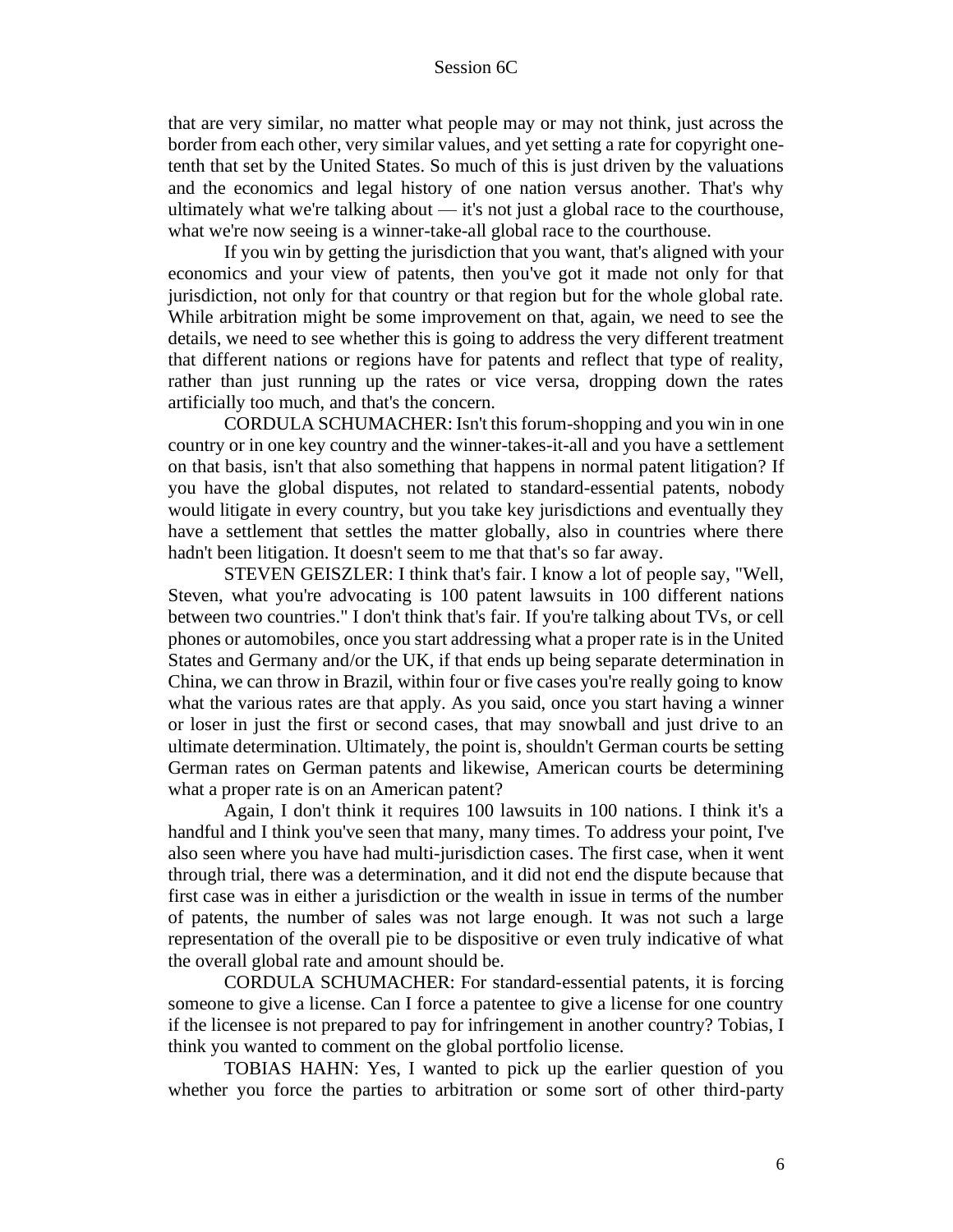that are very similar, no matter what people may or may not think, just across the border from each other, very similar values, and yet setting a rate for copyright onetenth that set by the United States. So much of this is just driven by the valuations and the economics and legal history of one nation versus another. That's why ultimately what we're talking about — it's not just a global race to the courthouse, what we're now seeing is a winner-take-all global race to the courthouse.

If you win by getting the jurisdiction that you want, that's aligned with your economics and your view of patents, then you've got it made not only for that jurisdiction, not only for that country or that region but for the whole global rate. While arbitration might be some improvement on that, again, we need to see the details, we need to see whether this is going to address the very different treatment that different nations or regions have for patents and reflect that type of reality, rather than just running up the rates or vice versa, dropping down the rates artificially too much, and that's the concern.

CORDULA SCHUMACHER: Isn't this forum-shopping and you win in one country or in one key country and the winner-takes-it-all and you have a settlement on that basis, isn't that also something that happens in normal patent litigation? If you have the global disputes, not related to standard-essential patents, nobody would litigate in every country, but you take key jurisdictions and eventually they have a settlement that settles the matter globally, also in countries where there hadn't been litigation. It doesn't seem to me that that's so far away.

STEVEN GEISZLER: I think that's fair. I know a lot of people say, "Well, Steven, what you're advocating is 100 patent lawsuits in 100 different nations between two countries." I don't think that's fair. If you're talking about TVs, or cell phones or automobiles, once you start addressing what a proper rate is in the United States and Germany and/or the UK, if that ends up being separate determination in China, we can throw in Brazil, within four or five cases you're really going to know what the various rates are that apply. As you said, once you start having a winner or loser in just the first or second cases, that may snowball and just drive to an ultimate determination. Ultimately, the point is, shouldn't German courts be setting German rates on German patents and likewise, American courts be determining what a proper rate is on an American patent?

Again, I don't think it requires 100 lawsuits in 100 nations. I think it's a handful and I think you've seen that many, many times. To address your point, I've also seen where you have had multi-jurisdiction cases. The first case, when it went through trial, there was a determination, and it did not end the dispute because that first case was in either a jurisdiction or the wealth in issue in terms of the number of patents, the number of sales was not large enough. It was not such a large representation of the overall pie to be dispositive or even truly indicative of what the overall global rate and amount should be.

CORDULA SCHUMACHER: For standard-essential patents, it is forcing someone to give a license. Can I force a patentee to give a license for one country if the licensee is not prepared to pay for infringement in another country? Tobias, I think you wanted to comment on the global portfolio license.

TOBIAS HAHN: Yes, I wanted to pick up the earlier question of you whether you force the parties to arbitration or some sort of other third-party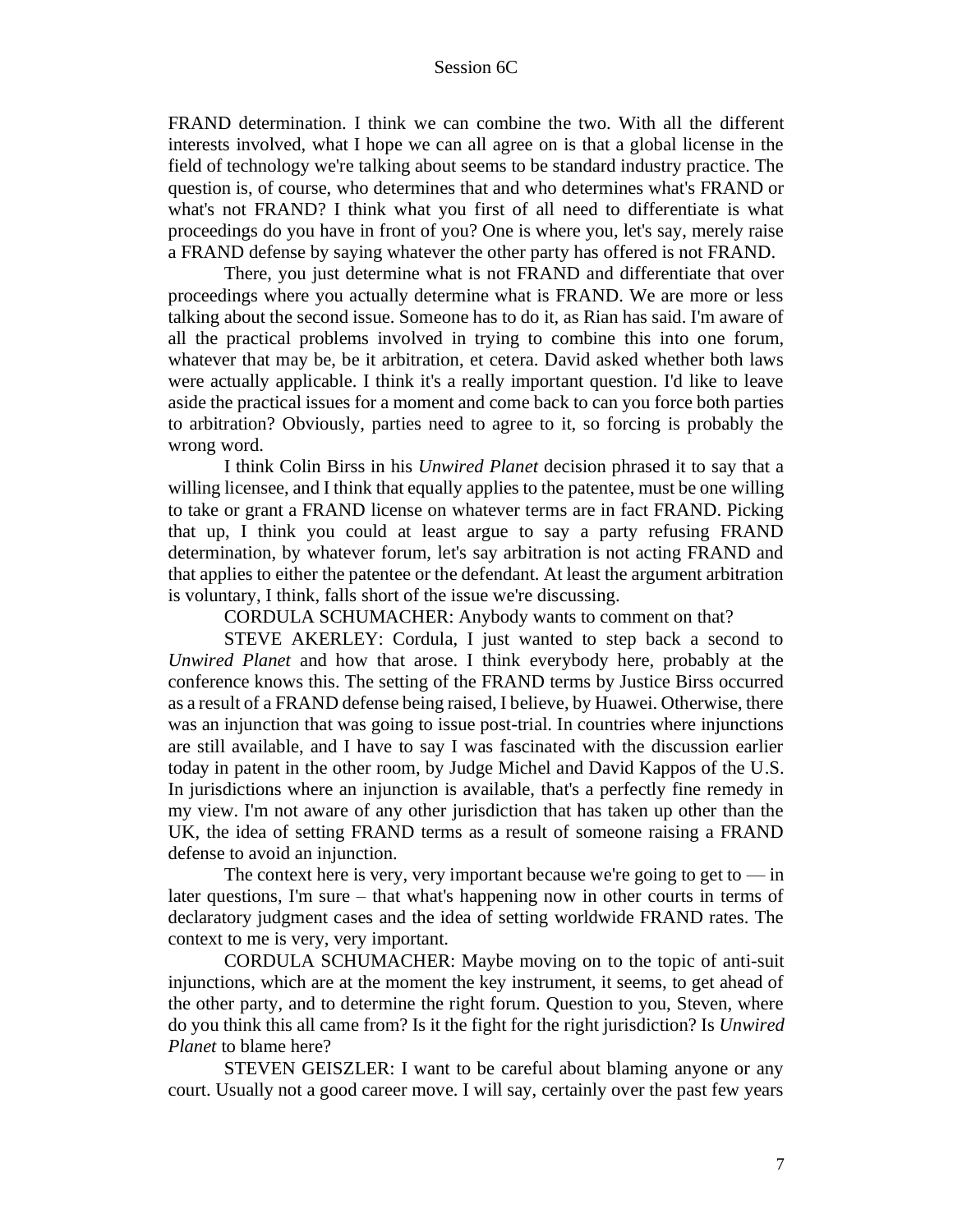FRAND determination. I think we can combine the two. With all the different interests involved, what I hope we can all agree on is that a global license in the field of technology we're talking about seems to be standard industry practice. The question is, of course, who determines that and who determines what's FRAND or what's not FRAND? I think what you first of all need to differentiate is what proceedings do you have in front of you? One is where you, let's say, merely raise a FRAND defense by saying whatever the other party has offered is not FRAND.

There, you just determine what is not FRAND and differentiate that over proceedings where you actually determine what is FRAND. We are more or less talking about the second issue. Someone has to do it, as Rian has said. I'm aware of all the practical problems involved in trying to combine this into one forum, whatever that may be, be it arbitration, et cetera. David asked whether both laws were actually applicable. I think it's a really important question. I'd like to leave aside the practical issues for a moment and come back to can you force both parties to arbitration? Obviously, parties need to agree to it, so forcing is probably the wrong word.

I think Colin Birss in his *Unwired Planet* decision phrased it to say that a willing licensee, and I think that equally applies to the patentee, must be one willing to take or grant a FRAND license on whatever terms are in fact FRAND. Picking that up, I think you could at least argue to say a party refusing FRAND determination, by whatever forum, let's say arbitration is not acting FRAND and that applies to either the patentee or the defendant. At least the argument arbitration is voluntary, I think, falls short of the issue we're discussing.

CORDULA SCHUMACHER: Anybody wants to comment on that?

STEVE AKERLEY: Cordula, I just wanted to step back a second to *Unwired Planet* and how that arose. I think everybody here, probably at the conference knows this. The setting of the FRAND terms by Justice Birss occurred as a result of a FRAND defense being raised, I believe, by Huawei. Otherwise, there was an injunction that was going to issue post-trial. In countries where injunctions are still available, and I have to say I was fascinated with the discussion earlier today in patent in the other room, by Judge Michel and David Kappos of the U.S. In jurisdictions where an injunction is available, that's a perfectly fine remedy in my view. I'm not aware of any other jurisdiction that has taken up other than the UK, the idea of setting FRAND terms as a result of someone raising a FRAND defense to avoid an injunction.

The context here is very, very important because we're going to get to  $-\text{in}$ later questions, I'm sure – that what's happening now in other courts in terms of declaratory judgment cases and the idea of setting worldwide FRAND rates. The context to me is very, very important.

CORDULA SCHUMACHER: Maybe moving on to the topic of anti-suit injunctions, which are at the moment the key instrument, it seems, to get ahead of the other party, and to determine the right forum. Question to you, Steven, where do you think this all came from? Is it the fight for the right jurisdiction? Is *Unwired Planet* to blame here?

STEVEN GEISZLER: I want to be careful about blaming anyone or any court. Usually not a good career move. I will say, certainly over the past few years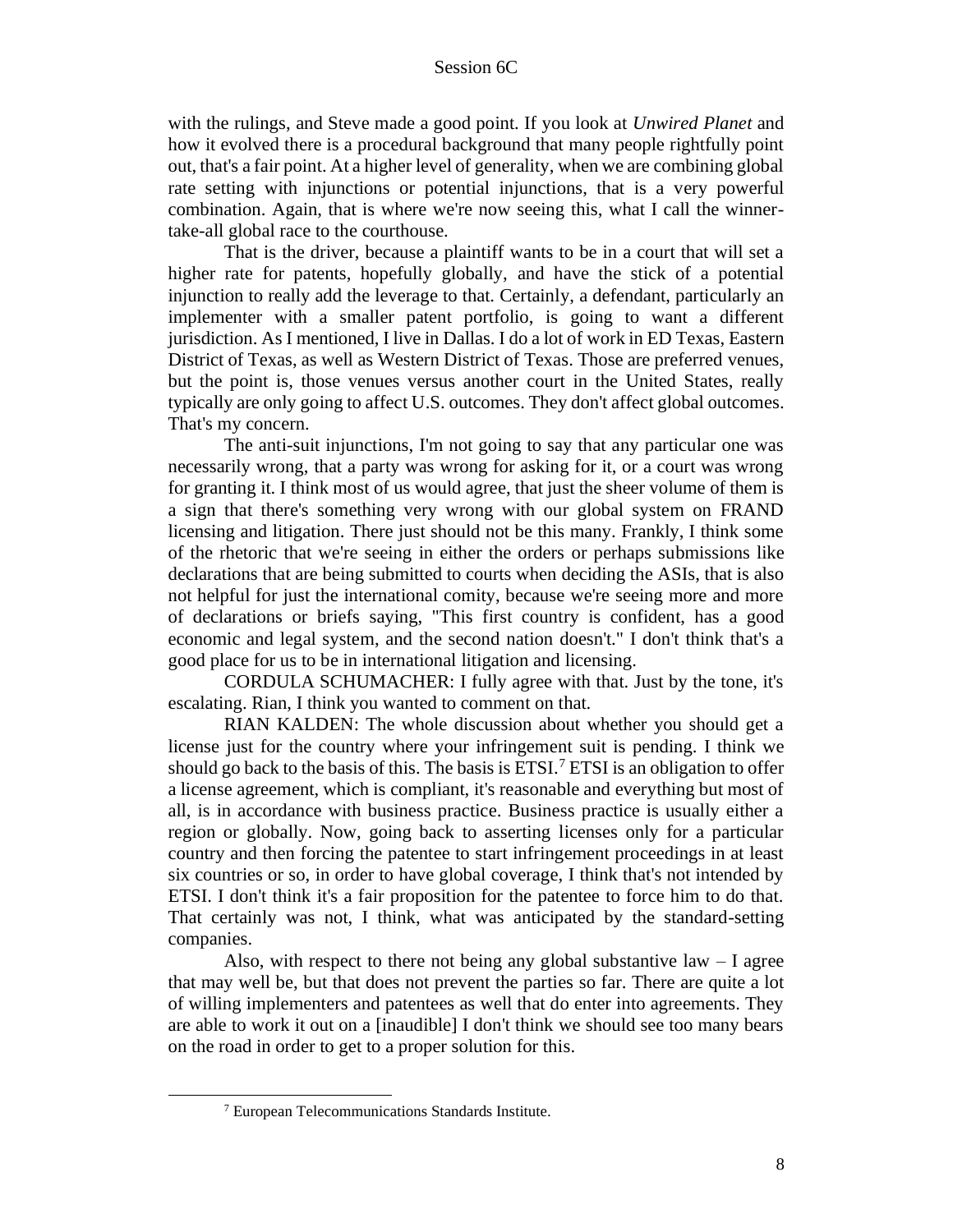with the rulings, and Steve made a good point. If you look at *Unwired Planet* and how it evolved there is a procedural background that many people rightfully point out, that's a fair point. At a higher level of generality, when we are combining global rate setting with injunctions or potential injunctions, that is a very powerful combination. Again, that is where we're now seeing this, what I call the winnertake-all global race to the courthouse.

That is the driver, because a plaintiff wants to be in a court that will set a higher rate for patents, hopefully globally, and have the stick of a potential injunction to really add the leverage to that. Certainly, a defendant, particularly an implementer with a smaller patent portfolio, is going to want a different jurisdiction. As I mentioned, I live in Dallas. I do a lot of work in ED Texas, Eastern District of Texas, as well as Western District of Texas. Those are preferred venues, but the point is, those venues versus another court in the United States, really typically are only going to affect U.S. outcomes. They don't affect global outcomes. That's my concern.

The anti-suit injunctions, I'm not going to say that any particular one was necessarily wrong, that a party was wrong for asking for it, or a court was wrong for granting it. I think most of us would agree, that just the sheer volume of them is a sign that there's something very wrong with our global system on FRAND licensing and litigation. There just should not be this many. Frankly, I think some of the rhetoric that we're seeing in either the orders or perhaps submissions like declarations that are being submitted to courts when deciding the ASIs, that is also not helpful for just the international comity, because we're seeing more and more of declarations or briefs saying, "This first country is confident, has a good economic and legal system, and the second nation doesn't." I don't think that's a good place for us to be in international litigation and licensing.

CORDULA SCHUMACHER: I fully agree with that. Just by the tone, it's escalating. Rian, I think you wanted to comment on that.

RIAN KALDEN: The whole discussion about whether you should get a license just for the country where your infringement suit is pending. I think we should go back to the basis of this. The basis is  $ETSI$ .<sup>7</sup>  $ETSI$  is an obligation to offer a license agreement, which is compliant, it's reasonable and everything but most of all, is in accordance with business practice. Business practice is usually either a region or globally. Now, going back to asserting licenses only for a particular country and then forcing the patentee to start infringement proceedings in at least six countries or so, in order to have global coverage, I think that's not intended by ETSI. I don't think it's a fair proposition for the patentee to force him to do that. That certainly was not, I think, what was anticipated by the standard-setting companies.

Also, with respect to there not being any global substantive  $law - I$  agree that may well be, but that does not prevent the parties so far. There are quite a lot of willing implementers and patentees as well that do enter into agreements. They are able to work it out on a [inaudible] I don't think we should see too many bears on the road in order to get to a proper solution for this.

<sup>7</sup> European Telecommunications Standards Institute.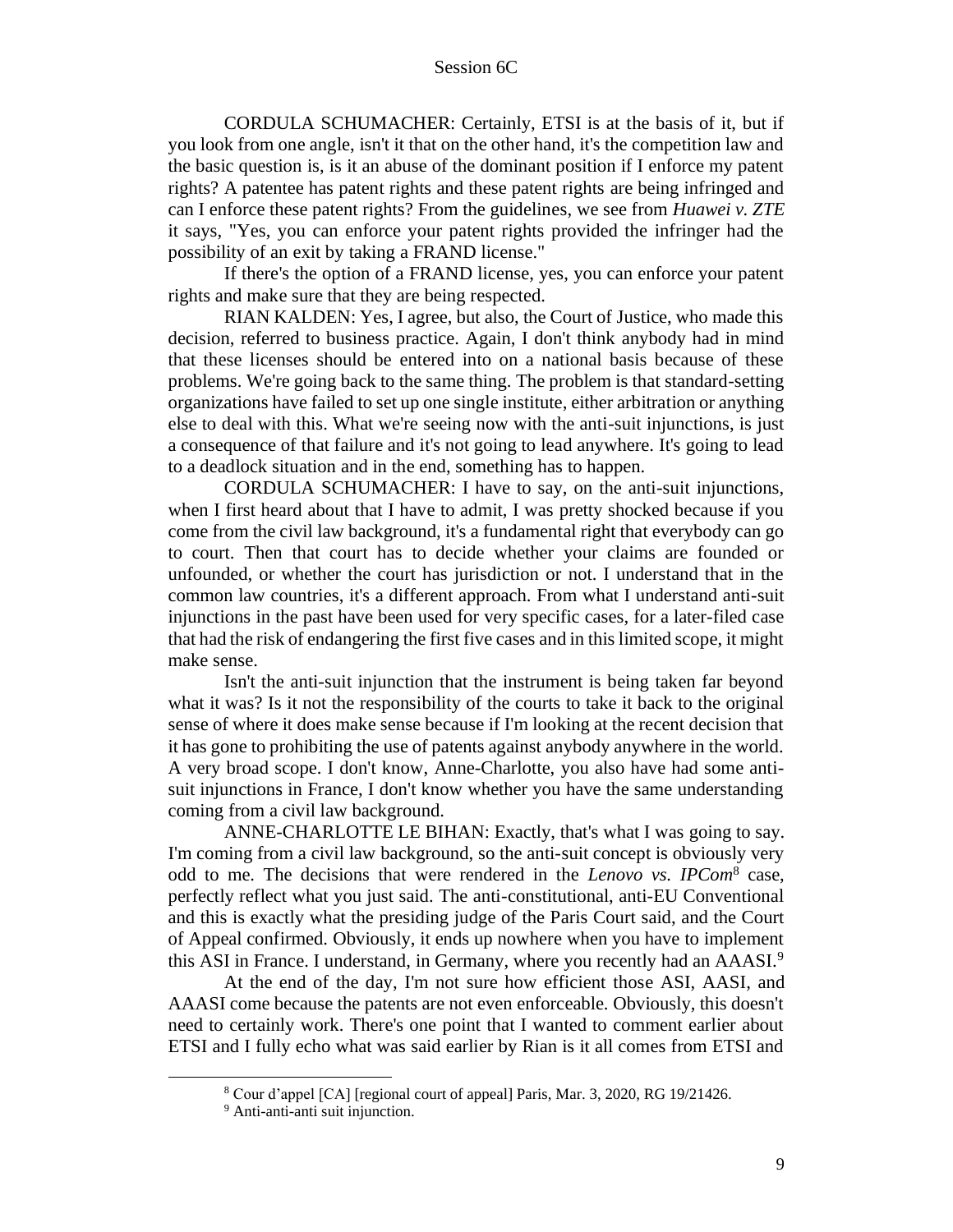CORDULA SCHUMACHER: Certainly, ETSI is at the basis of it, but if you look from one angle, isn't it that on the other hand, it's the competition law and the basic question is, is it an abuse of the dominant position if I enforce my patent rights? A patentee has patent rights and these patent rights are being infringed and can I enforce these patent rights? From the guidelines, we see from *Huawei v. ZTE*  it says, "Yes, you can enforce your patent rights provided the infringer had the possibility of an exit by taking a FRAND license."

If there's the option of a FRAND license, yes, you can enforce your patent rights and make sure that they are being respected.

RIAN KALDEN: Yes, I agree, but also, the Court of Justice, who made this decision, referred to business practice. Again, I don't think anybody had in mind that these licenses should be entered into on a national basis because of these problems. We're going back to the same thing. The problem is that standard-setting organizations have failed to set up one single institute, either arbitration or anything else to deal with this. What we're seeing now with the anti-suit injunctions, is just a consequence of that failure and it's not going to lead anywhere. It's going to lead to a deadlock situation and in the end, something has to happen.

CORDULA SCHUMACHER: I have to say, on the anti-suit injunctions, when I first heard about that I have to admit, I was pretty shocked because if you come from the civil law background, it's a fundamental right that everybody can go to court. Then that court has to decide whether your claims are founded or unfounded, or whether the court has jurisdiction or not. I understand that in the common law countries, it's a different approach. From what I understand anti-suit injunctions in the past have been used for very specific cases, for a later-filed case that had the risk of endangering the first five cases and in this limited scope, it might make sense.

Isn't the anti-suit injunction that the instrument is being taken far beyond what it was? Is it not the responsibility of the courts to take it back to the original sense of where it does make sense because if I'm looking at the recent decision that it has gone to prohibiting the use of patents against anybody anywhere in the world. A very broad scope. I don't know, Anne-Charlotte, you also have had some antisuit injunctions in France, I don't know whether you have the same understanding coming from a civil law background.

ANNE-CHARLOTTE LE BIHAN: Exactly, that's what I was going to say. I'm coming from a civil law background, so the anti-suit concept is obviously very odd to me. The decisions that were rendered in the *Lenovo vs. IPCom*<sup>8</sup> case, perfectly reflect what you just said. The anti-constitutional, anti-EU Conventional and this is exactly what the presiding judge of the Paris Court said, and the Court of Appeal confirmed. Obviously, it ends up nowhere when you have to implement this ASI in France. I understand, in Germany, where you recently had an AAASI.<sup>9</sup>

At the end of the day, I'm not sure how efficient those ASI, AASI, and AAASI come because the patents are not even enforceable. Obviously, this doesn't need to certainly work. There's one point that I wanted to comment earlier about ETSI and I fully echo what was said earlier by Rian is it all comes from ETSI and

<sup>8</sup> Cour d'appel [CA] [regional court of appeal] Paris, Mar. 3, 2020, RG 19/21426.

<sup>&</sup>lt;sup>9</sup> Anti-anti-anti suit injunction.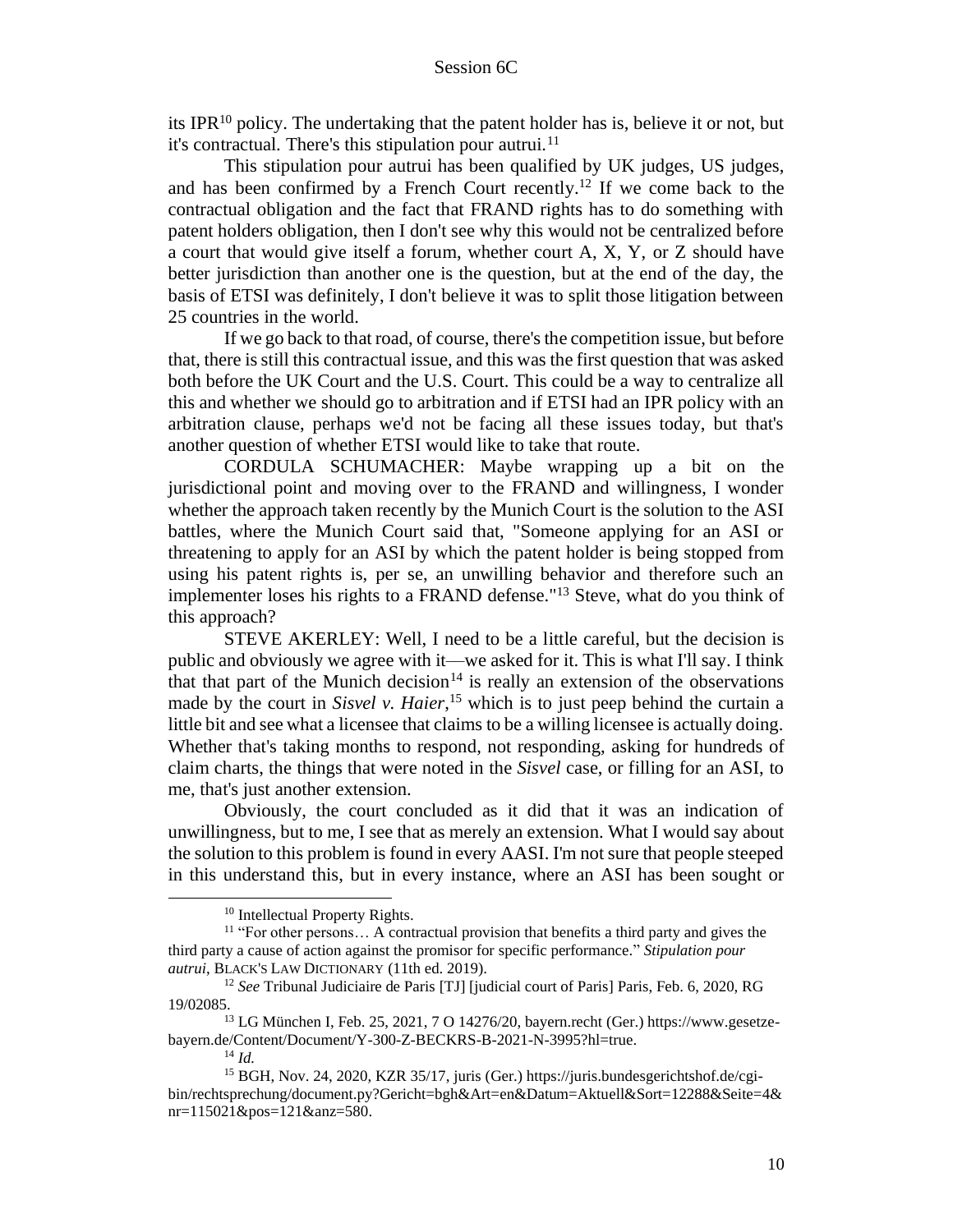its IPR<sup>10</sup> policy. The undertaking that the patent holder has is, believe it or not, but it's contractual. There's this stipulation pour autrui.<sup>11</sup>

This stipulation pour autrui has been qualified by UK judges, US judges, and has been confirmed by a French Court recently.<sup>12</sup> If we come back to the contractual obligation and the fact that FRAND rights has to do something with patent holders obligation, then I don't see why this would not be centralized before a court that would give itself a forum, whether court A, X, Y, or Z should have better jurisdiction than another one is the question, but at the end of the day, the basis of ETSI was definitely, I don't believe it was to split those litigation between 25 countries in the world.

If we go back to that road, of course, there's the competition issue, but before that, there is still this contractual issue, and this was the first question that was asked both before the UK Court and the U.S. Court. This could be a way to centralize all this and whether we should go to arbitration and if ETSI had an IPR policy with an arbitration clause, perhaps we'd not be facing all these issues today, but that's another question of whether ETSI would like to take that route.

CORDULA SCHUMACHER: Maybe wrapping up a bit on the jurisdictional point and moving over to the FRAND and willingness, I wonder whether the approach taken recently by the Munich Court is the solution to the ASI battles, where the Munich Court said that, "Someone applying for an ASI or threatening to apply for an ASI by which the patent holder is being stopped from using his patent rights is, per se, an unwilling behavior and therefore such an implementer loses his rights to a FRAND defense."<sup>13</sup> Steve, what do you think of this approach?

STEVE AKERLEY: Well, I need to be a little careful, but the decision is public and obviously we agree with it––we asked for it. This is what I'll say. I think that that part of the Munich decision<sup>14</sup> is really an extension of the observations made by the court in *Sisvel v. Haier*, <sup>15</sup> which is to just peep behind the curtain a little bit and see what a licensee that claims to be a willing licensee is actually doing. Whether that's taking months to respond, not responding, asking for hundreds of claim charts, the things that were noted in the *Sisvel* case, or filling for an ASI, to me, that's just another extension.

Obviously, the court concluded as it did that it was an indication of unwillingness, but to me, I see that as merely an extension. What I would say about the solution to this problem is found in every AASI. I'm not sure that people steeped in this understand this, but in every instance, where an ASI has been sought or

<sup>13</sup> LG München I, Feb. 25, 2021, 7 O 14276/20, bayern.recht (Ger.) https://www.gesetzebayern.de/Content/Document/Y-300-Z-BECKRS-B-2021-N-3995?hl=true.

<sup>10</sup> Intellectual Property Rights.

<sup>&</sup>lt;sup>11</sup> "For other persons... A contractual provision that benefits a third party and gives the third party a cause of action against the promisor for specific performance." *Stipulation pour autrui*, BLACK'S LAW DICTIONARY (11th ed. 2019).

<sup>12</sup> *See* Tribunal Judiciaire de Paris [TJ] [judicial court of Paris] Paris, Feb. 6, 2020, RG 19/02085.

<sup>14</sup> *Id.*

<sup>15</sup> BGH, Nov. 24, 2020, KZR 35/17, juris (Ger.) https://juris.bundesgerichtshof.de/cgibin/rechtsprechung/document.py?Gericht=bgh&Art=en&Datum=Aktuell&Sort=12288&Seite=4& nr=115021&pos=121&anz=580.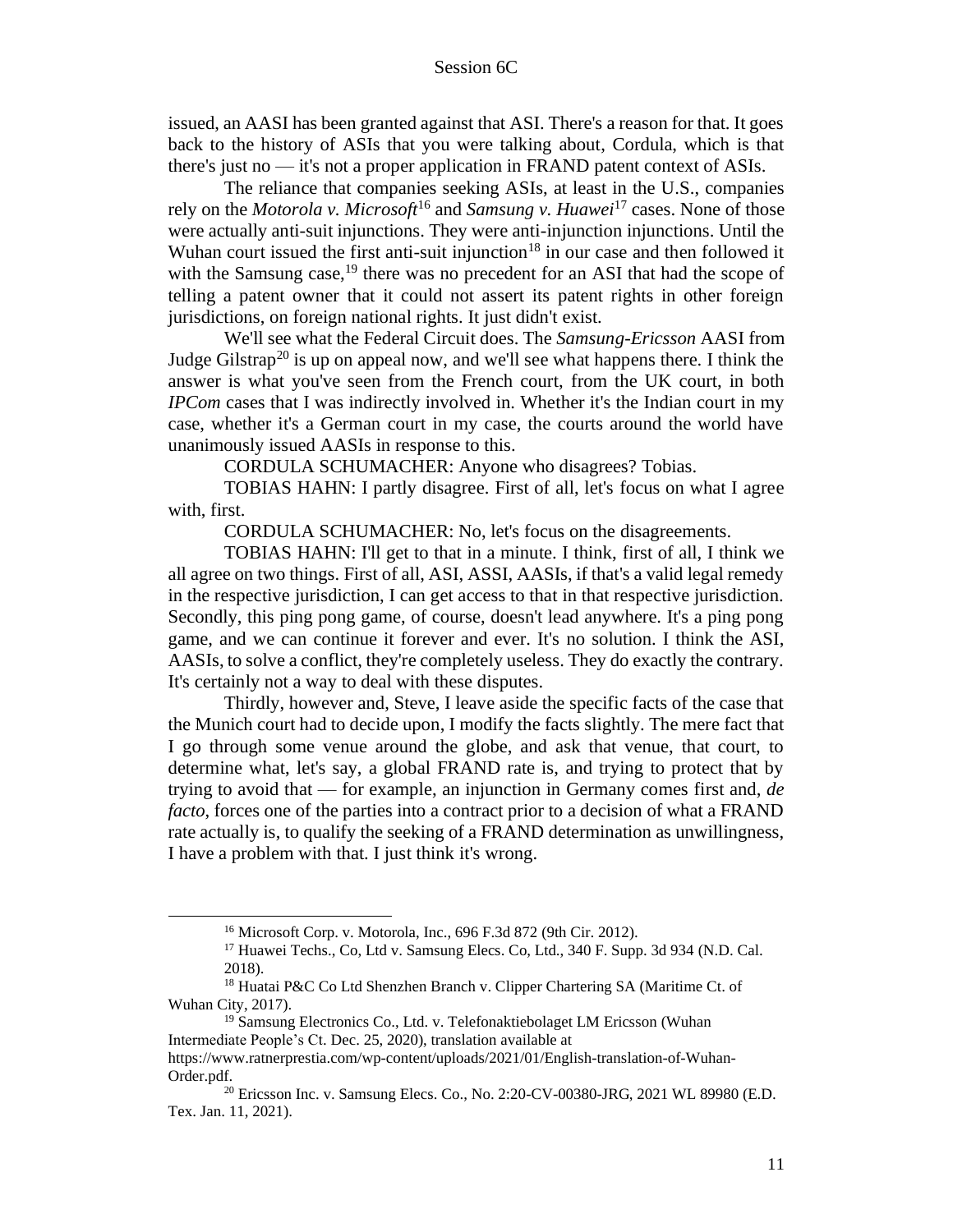issued, an AASI has been granted against that ASI. There's a reason for that. It goes back to the history of ASIs that you were talking about, Cordula, which is that there's just no — it's not a proper application in FRAND patent context of ASIs.

The reliance that companies seeking ASIs, at least in the U.S., companies rely on the *Motorola v. Microsoft*<sup>16</sup> and *Samsung v. Huawei*<sup>17</sup> cases. None of those were actually anti-suit injunctions. They were anti-injunction injunctions. Until the Wuhan court issued the first anti-suit injunction<sup>18</sup> in our case and then followed it with the Samsung case,  $19$  there was no precedent for an ASI that had the scope of telling a patent owner that it could not assert its patent rights in other foreign jurisdictions, on foreign national rights. It just didn't exist.

We'll see what the Federal Circuit does. The *Samsung-Ericsson* AASI from Judge Gilstrap<sup>20</sup> is up on appeal now, and we'll see what happens there. I think the answer is what you've seen from the French court, from the UK court, in both *IPCom* cases that I was indirectly involved in. Whether it's the Indian court in my case, whether it's a German court in my case, the courts around the world have unanimously issued AASIs in response to this.

CORDULA SCHUMACHER: Anyone who disagrees? Tobias.

TOBIAS HAHN: I partly disagree. First of all, let's focus on what I agree with, first.

CORDULA SCHUMACHER: No, let's focus on the disagreements.

TOBIAS HAHN: I'll get to that in a minute. I think, first of all, I think we all agree on two things. First of all, ASI, ASSI, AASIs, if that's a valid legal remedy in the respective jurisdiction, I can get access to that in that respective jurisdiction. Secondly, this ping pong game, of course, doesn't lead anywhere. It's a ping pong game, and we can continue it forever and ever. It's no solution. I think the ASI, AASIs, to solve a conflict, they're completely useless. They do exactly the contrary. It's certainly not a way to deal with these disputes.

Thirdly, however and, Steve, I leave aside the specific facts of the case that the Munich court had to decide upon, I modify the facts slightly. The mere fact that I go through some venue around the globe, and ask that venue, that court, to determine what, let's say, a global FRAND rate is, and trying to protect that by trying to avoid that — for example, an injunction in Germany comes first and, *de facto*, forces one of the parties into a contract prior to a decision of what a FRAND rate actually is, to qualify the seeking of a FRAND determination as unwillingness, I have a problem with that. I just think it's wrong.

<sup>16</sup> Microsoft Corp. v. Motorola, Inc., 696 F.3d 872 (9th Cir. 2012).

<sup>&</sup>lt;sup>17</sup> Huawei Techs., Co, Ltd v. Samsung Elecs. Co, Ltd., 340 F. Supp. 3d 934 (N.D. Cal. 2018).

<sup>&</sup>lt;sup>18</sup> Huatai P&C Co Ltd Shenzhen Branch v. Clipper Chartering SA (Maritime Ct. of Wuhan City, 2017).

<sup>&</sup>lt;sup>19</sup> Samsung Electronics Co., Ltd. v. Telefonaktiebolaget LM Ericsson (Wuhan Intermediate People's Ct. Dec. 25, 2020), translation available at https://www.ratnerprestia.com/wp-content/uploads/2021/01/English-translation-of-Wuhan-

Order.pdf.

<sup>20</sup> Ericsson Inc. v. Samsung Elecs. Co., No. 2:20-CV-00380-JRG, 2021 WL 89980 (E.D. Tex. Jan. 11, 2021).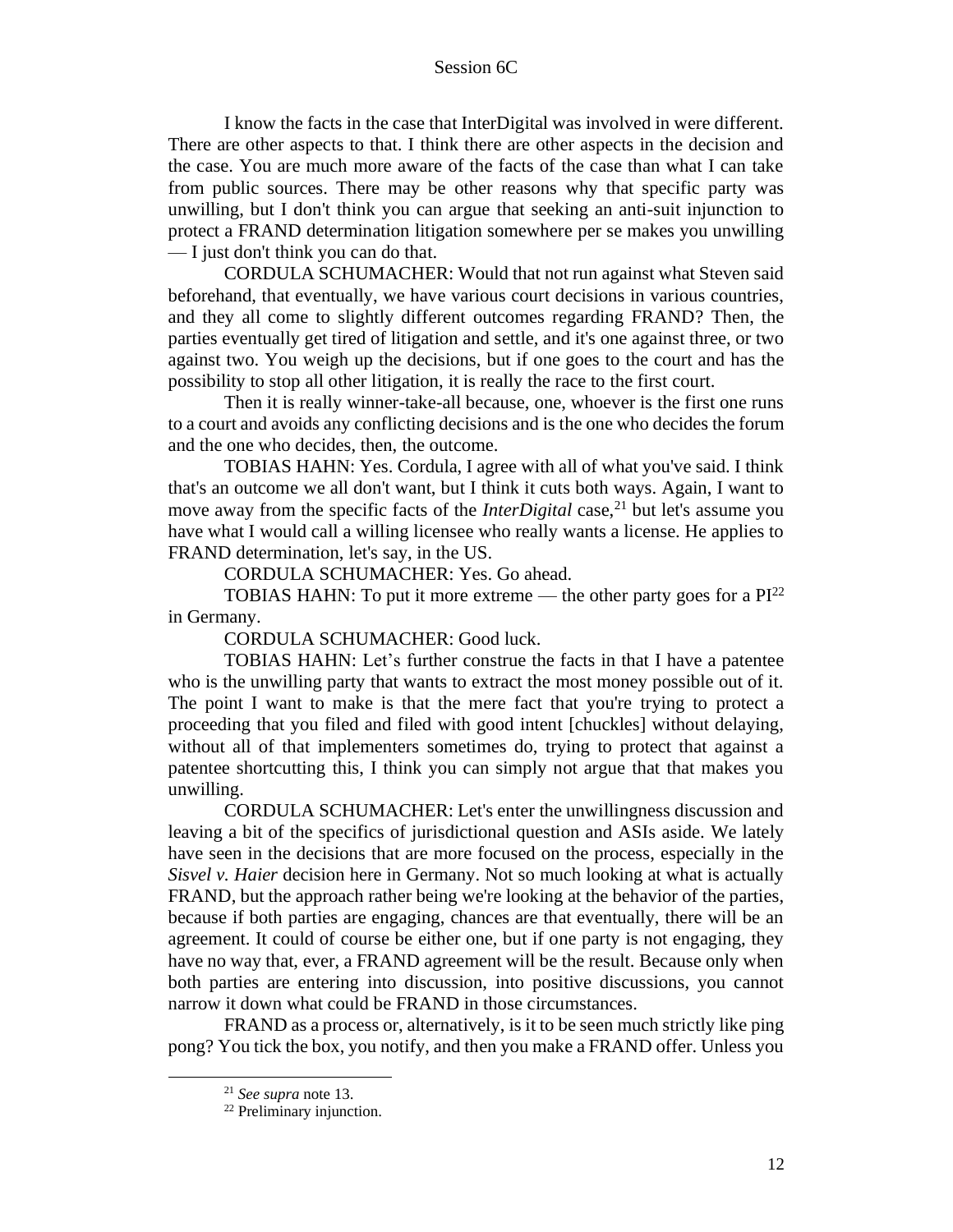I know the facts in the case that InterDigital was involved in were different. There are other aspects to that. I think there are other aspects in the decision and the case. You are much more aware of the facts of the case than what I can take from public sources. There may be other reasons why that specific party was unwilling, but I don't think you can argue that seeking an anti-suit injunction to protect a FRAND determination litigation somewhere per se makes you unwilling — I just don't think you can do that.

CORDULA SCHUMACHER: Would that not run against what Steven said beforehand, that eventually, we have various court decisions in various countries, and they all come to slightly different outcomes regarding FRAND? Then, the parties eventually get tired of litigation and settle, and it's one against three, or two against two. You weigh up the decisions, but if one goes to the court and has the possibility to stop all other litigation, it is really the race to the first court.

Then it is really winner-take-all because, one, whoever is the first one runs to a court and avoids any conflicting decisions and is the one who decides the forum and the one who decides, then, the outcome.

TOBIAS HAHN: Yes. Cordula, I agree with all of what you've said. I think that's an outcome we all don't want, but I think it cuts both ways. Again, I want to move away from the specific facts of the *InterDigital* case,<sup>21</sup> but let's assume you have what I would call a willing licensee who really wants a license. He applies to FRAND determination, let's say, in the US.

CORDULA SCHUMACHER: Yes. Go ahead.

TOBIAS HAHN: To put it more extreme — the other party goes for a  $PI^{22}$ in Germany.

CORDULA SCHUMACHER: Good luck.

TOBIAS HAHN: Let's further construe the facts in that I have a patentee who is the unwilling party that wants to extract the most money possible out of it. The point I want to make is that the mere fact that you're trying to protect a proceeding that you filed and filed with good intent [chuckles] without delaying, without all of that implementers sometimes do, trying to protect that against a patentee shortcutting this, I think you can simply not argue that that makes you unwilling.

CORDULA SCHUMACHER: Let's enter the unwillingness discussion and leaving a bit of the specifics of jurisdictional question and ASIs aside. We lately have seen in the decisions that are more focused on the process, especially in the *Sisvel v. Haier* decision here in Germany. Not so much looking at what is actually FRAND, but the approach rather being we're looking at the behavior of the parties, because if both parties are engaging, chances are that eventually, there will be an agreement. It could of course be either one, but if one party is not engaging, they have no way that, ever, a FRAND agreement will be the result. Because only when both parties are entering into discussion, into positive discussions, you cannot narrow it down what could be FRAND in those circumstances.

FRAND as a process or, alternatively, is it to be seen much strictly like ping pong? You tick the box, you notify, and then you make a FRAND offer. Unless you

<sup>21</sup> *See supra* note 13.

<sup>22</sup> Preliminary injunction.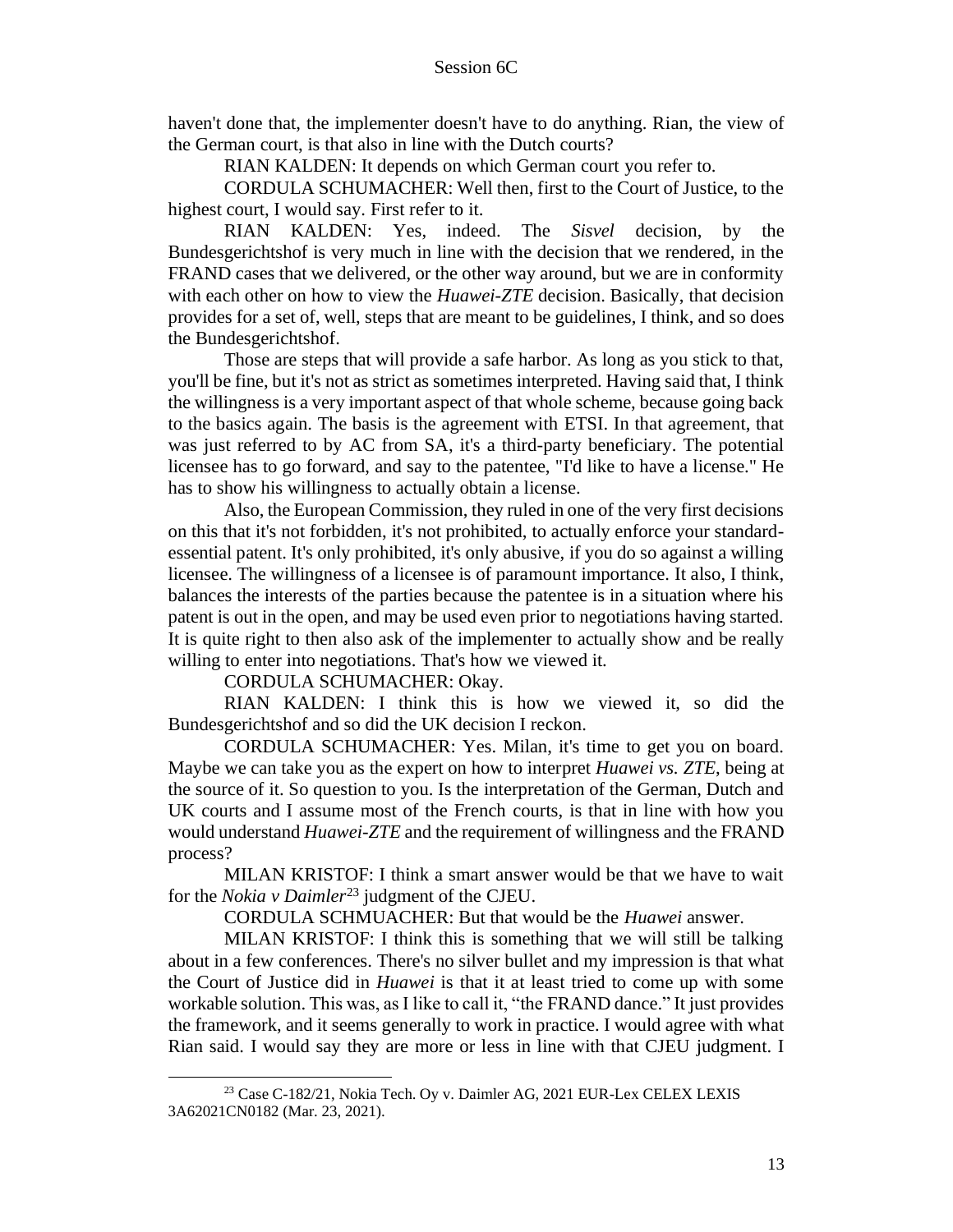haven't done that, the implementer doesn't have to do anything. Rian, the view of the German court, is that also in line with the Dutch courts?

RIAN KALDEN: It depends on which German court you refer to.

CORDULA SCHUMACHER: Well then, first to the Court of Justice, to the highest court, I would say. First refer to it.

RIAN KALDEN: Yes, indeed. The *Sisvel* decision, by the Bundesgerichtshof is very much in line with the decision that we rendered, in the FRAND cases that we delivered, or the other way around, but we are in conformity with each other on how to view the *Huawei-ZTE* decision. Basically, that decision provides for a set of, well, steps that are meant to be guidelines, I think, and so does the Bundesgerichtshof.

Those are steps that will provide a safe harbor. As long as you stick to that, you'll be fine, but it's not as strict as sometimes interpreted. Having said that, I think the willingness is a very important aspect of that whole scheme, because going back to the basics again. The basis is the agreement with ETSI. In that agreement, that was just referred to by AC from SA, it's a third-party beneficiary. The potential licensee has to go forward, and say to the patentee, "I'd like to have a license." He has to show his willingness to actually obtain a license.

Also, the European Commission, they ruled in one of the very first decisions on this that it's not forbidden, it's not prohibited, to actually enforce your standardessential patent. It's only prohibited, it's only abusive, if you do so against a willing licensee. The willingness of a licensee is of paramount importance. It also, I think, balances the interests of the parties because the patentee is in a situation where his patent is out in the open, and may be used even prior to negotiations having started. It is quite right to then also ask of the implementer to actually show and be really willing to enter into negotiations. That's how we viewed it.

CORDULA SCHUMACHER: Okay.

RIAN KALDEN: I think this is how we viewed it, so did the Bundesgerichtshof and so did the UK decision I reckon.

CORDULA SCHUMACHER: Yes. Milan, it's time to get you on board. Maybe we can take you as the expert on how to interpret *Huawei vs. ZTE*, being at the source of it. So question to you. Is the interpretation of the German, Dutch and UK courts and I assume most of the French courts, is that in line with how you would understand *Huawei-ZTE* and the requirement of willingness and the FRAND process?

MILAN KRISTOF: I think a smart answer would be that we have to wait for the *Nokia v Daimler*<sup>23</sup> judgment of the CJEU.

CORDULA SCHMUACHER: But that would be the *Huawei* answer.

MILAN KRISTOF: I think this is something that we will still be talking about in a few conferences. There's no silver bullet and my impression is that what the Court of Justice did in *Huawei* is that it at least tried to come up with some workable solution. This was, as I like to call it, "the FRAND dance." It just provides the framework, and it seems generally to work in practice. I would agree with what Rian said. I would say they are more or less in line with that CJEU judgment. I

<sup>&</sup>lt;sup>23</sup> Case C-182/21, Nokia Tech. Oy v. Daimler AG, 2021 EUR-Lex CELEX LEXIS 3A62021CN0182 (Mar. 23, 2021).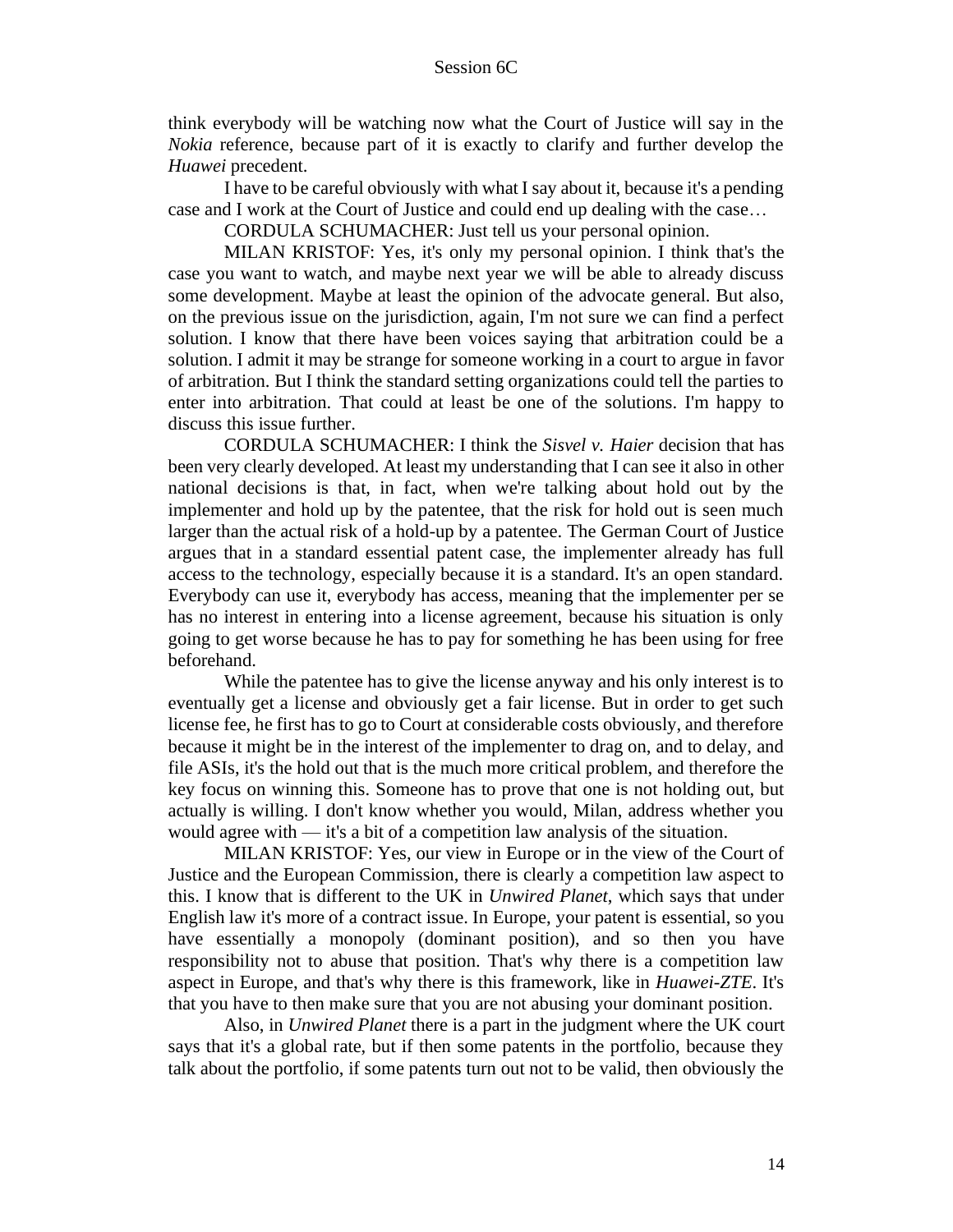think everybody will be watching now what the Court of Justice will say in the *Nokia* reference, because part of it is exactly to clarify and further develop the *Huawei* precedent.

I have to be careful obviously with what I say about it, because it's a pending case and I work at the Court of Justice and could end up dealing with the case…

CORDULA SCHUMACHER: Just tell us your personal opinion.

MILAN KRISTOF: Yes, it's only my personal opinion. I think that's the case you want to watch, and maybe next year we will be able to already discuss some development. Maybe at least the opinion of the advocate general. But also, on the previous issue on the jurisdiction, again, I'm not sure we can find a perfect solution. I know that there have been voices saying that arbitration could be a solution. I admit it may be strange for someone working in a court to argue in favor of arbitration. But I think the standard setting organizations could tell the parties to enter into arbitration. That could at least be one of the solutions. I'm happy to discuss this issue further.

CORDULA SCHUMACHER: I think the *Sisvel v. Haier* decision that has been very clearly developed. At least my understanding that I can see it also in other national decisions is that, in fact, when we're talking about hold out by the implementer and hold up by the patentee, that the risk for hold out is seen much larger than the actual risk of a hold-up by a patentee. The German Court of Justice argues that in a standard essential patent case, the implementer already has full access to the technology, especially because it is a standard. It's an open standard. Everybody can use it, everybody has access, meaning that the implementer per se has no interest in entering into a license agreement, because his situation is only going to get worse because he has to pay for something he has been using for free beforehand.

While the patentee has to give the license anyway and his only interest is to eventually get a license and obviously get a fair license. But in order to get such license fee, he first has to go to Court at considerable costs obviously, and therefore because it might be in the interest of the implementer to drag on, and to delay, and file ASIs, it's the hold out that is the much more critical problem, and therefore the key focus on winning this. Someone has to prove that one is not holding out, but actually is willing. I don't know whether you would, Milan, address whether you would agree with — it's a bit of a competition law analysis of the situation.

MILAN KRISTOF: Yes, our view in Europe or in the view of the Court of Justice and the European Commission, there is clearly a competition law aspect to this. I know that is different to the UK in *Unwired Planet*, which says that under English law it's more of a contract issue. In Europe, your patent is essential, so you have essentially a monopoly (dominant position), and so then you have responsibility not to abuse that position. That's why there is a competition law aspect in Europe, and that's why there is this framework, like in *Huawei-ZTE*. It's that you have to then make sure that you are not abusing your dominant position.

Also, in *Unwired Planet* there is a part in the judgment where the UK court says that it's a global rate, but if then some patents in the portfolio, because they talk about the portfolio, if some patents turn out not to be valid, then obviously the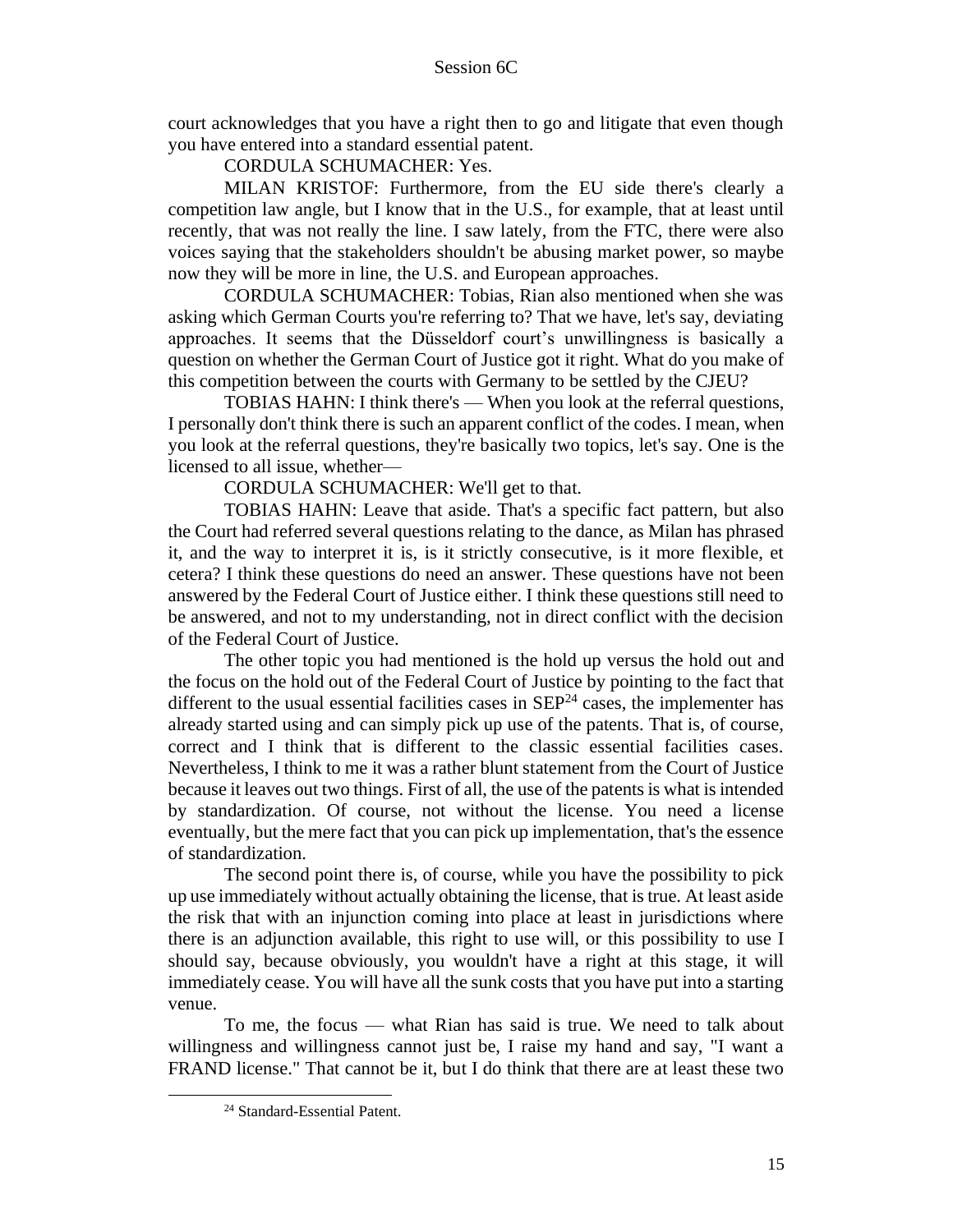court acknowledges that you have a right then to go and litigate that even though you have entered into a standard essential patent.

CORDULA SCHUMACHER: Yes.

MILAN KRISTOF: Furthermore, from the EU side there's clearly a competition law angle, but I know that in the U.S., for example, that at least until recently, that was not really the line. I saw lately, from the FTC, there were also voices saying that the stakeholders shouldn't be abusing market power, so maybe now they will be more in line, the U.S. and European approaches.

CORDULA SCHUMACHER: Tobias, Rian also mentioned when she was asking which German Courts you're referring to? That we have, let's say, deviating approaches. It seems that the Düsseldorf court's unwillingness is basically a question on whether the German Court of Justice got it right. What do you make of this competition between the courts with Germany to be settled by the CJEU?

TOBIAS HAHN: I think there's — When you look at the referral questions, I personally don't think there is such an apparent conflict of the codes. I mean, when you look at the referral questions, they're basically two topics, let's say. One is the licensed to all issue, whether––

CORDULA SCHUMACHER: We'll get to that.

TOBIAS HAHN: Leave that aside. That's a specific fact pattern, but also the Court had referred several questions relating to the dance, as Milan has phrased it, and the way to interpret it is, is it strictly consecutive, is it more flexible, et cetera? I think these questions do need an answer. These questions have not been answered by the Federal Court of Justice either. I think these questions still need to be answered, and not to my understanding, not in direct conflict with the decision of the Federal Court of Justice.

The other topic you had mentioned is the hold up versus the hold out and the focus on the hold out of the Federal Court of Justice by pointing to the fact that different to the usual essential facilities cases in  $\text{SEP}^{24}$  cases, the implementer has already started using and can simply pick up use of the patents. That is, of course, correct and I think that is different to the classic essential facilities cases. Nevertheless, I think to me it was a rather blunt statement from the Court of Justice because it leaves out two things. First of all, the use of the patents is what is intended by standardization. Of course, not without the license. You need a license eventually, but the mere fact that you can pick up implementation, that's the essence of standardization.

The second point there is, of course, while you have the possibility to pick up use immediately without actually obtaining the license, that is true. At least aside the risk that with an injunction coming into place at least in jurisdictions where there is an adjunction available, this right to use will, or this possibility to use I should say, because obviously, you wouldn't have a right at this stage, it will immediately cease. You will have all the sunk costs that you have put into a starting venue.

To me, the focus — what Rian has said is true. We need to talk about willingness and willingness cannot just be, I raise my hand and say, "I want a FRAND license." That cannot be it, but I do think that there are at least these two

<sup>24</sup> Standard-Essential Patent.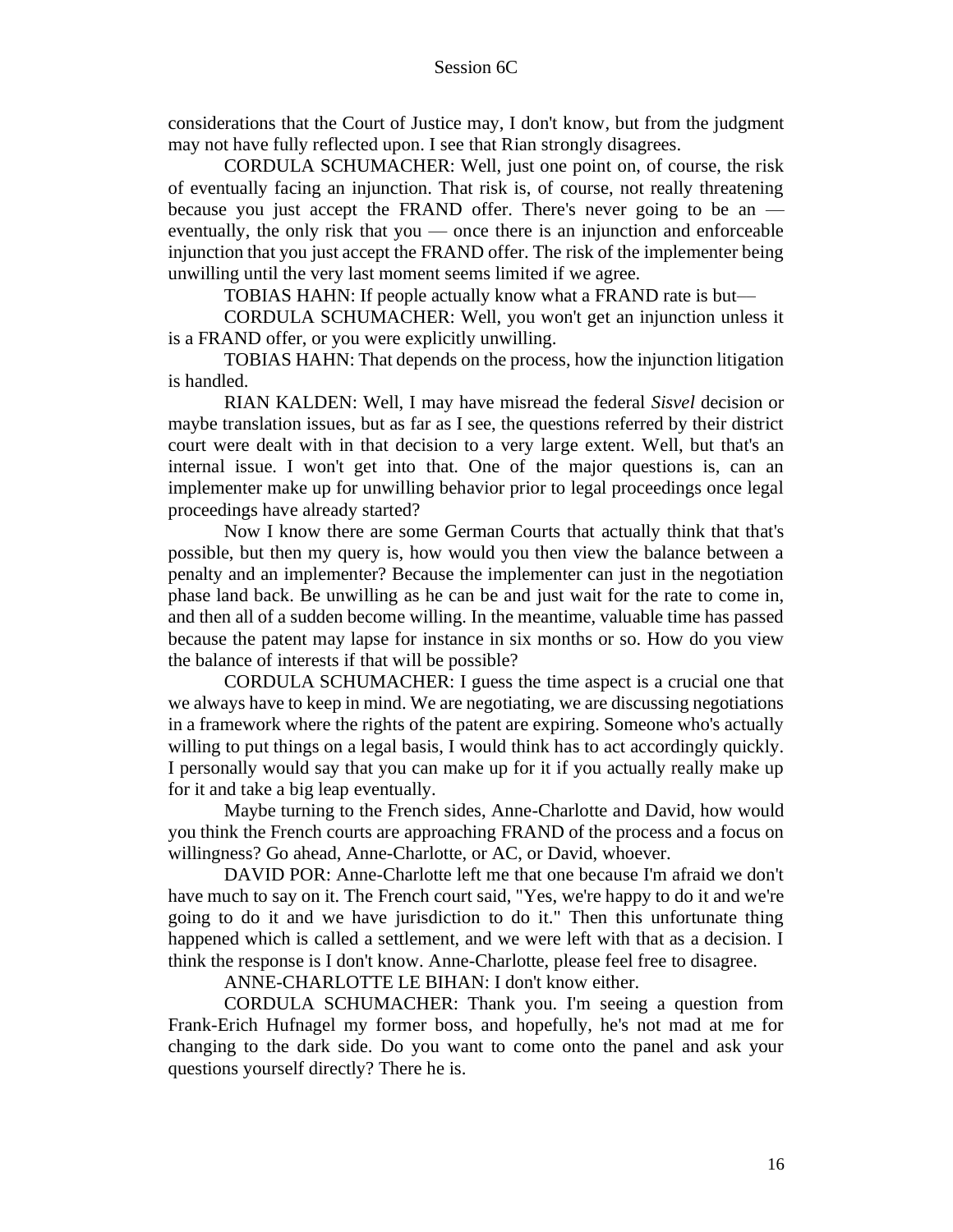considerations that the Court of Justice may, I don't know, but from the judgment may not have fully reflected upon. I see that Rian strongly disagrees.

CORDULA SCHUMACHER: Well, just one point on, of course, the risk of eventually facing an injunction. That risk is, of course, not really threatening because you just accept the FRAND offer. There's never going to be an eventually, the only risk that you — once there is an injunction and enforceable injunction that you just accept the FRAND offer. The risk of the implementer being unwilling until the very last moment seems limited if we agree.

TOBIAS HAHN: If people actually know what a FRAND rate is but—

CORDULA SCHUMACHER: Well, you won't get an injunction unless it is a FRAND offer, or you were explicitly unwilling.

TOBIAS HAHN: That depends on the process, how the injunction litigation is handled.

RIAN KALDEN: Well, I may have misread the federal *Sisvel* decision or maybe translation issues, but as far as I see, the questions referred by their district court were dealt with in that decision to a very large extent. Well, but that's an internal issue. I won't get into that. One of the major questions is, can an implementer make up for unwilling behavior prior to legal proceedings once legal proceedings have already started?

Now I know there are some German Courts that actually think that that's possible, but then my query is, how would you then view the balance between a penalty and an implementer? Because the implementer can just in the negotiation phase land back. Be unwilling as he can be and just wait for the rate to come in, and then all of a sudden become willing. In the meantime, valuable time has passed because the patent may lapse for instance in six months or so. How do you view the balance of interests if that will be possible?

CORDULA SCHUMACHER: I guess the time aspect is a crucial one that we always have to keep in mind. We are negotiating, we are discussing negotiations in a framework where the rights of the patent are expiring. Someone who's actually willing to put things on a legal basis, I would think has to act accordingly quickly. I personally would say that you can make up for it if you actually really make up for it and take a big leap eventually.

Maybe turning to the French sides, Anne-Charlotte and David, how would you think the French courts are approaching FRAND of the process and a focus on willingness? Go ahead, Anne-Charlotte, or AC, or David, whoever.

DAVID POR: Anne-Charlotte left me that one because I'm afraid we don't have much to say on it. The French court said, "Yes, we're happy to do it and we're going to do it and we have jurisdiction to do it." Then this unfortunate thing happened which is called a settlement, and we were left with that as a decision. I think the response is I don't know. Anne-Charlotte, please feel free to disagree.

ANNE-CHARLOTTE LE BIHAN: I don't know either.

CORDULA SCHUMACHER: Thank you. I'm seeing a question from Frank-Erich Hufnagel my former boss, and hopefully, he's not mad at me for changing to the dark side. Do you want to come onto the panel and ask your questions yourself directly? There he is.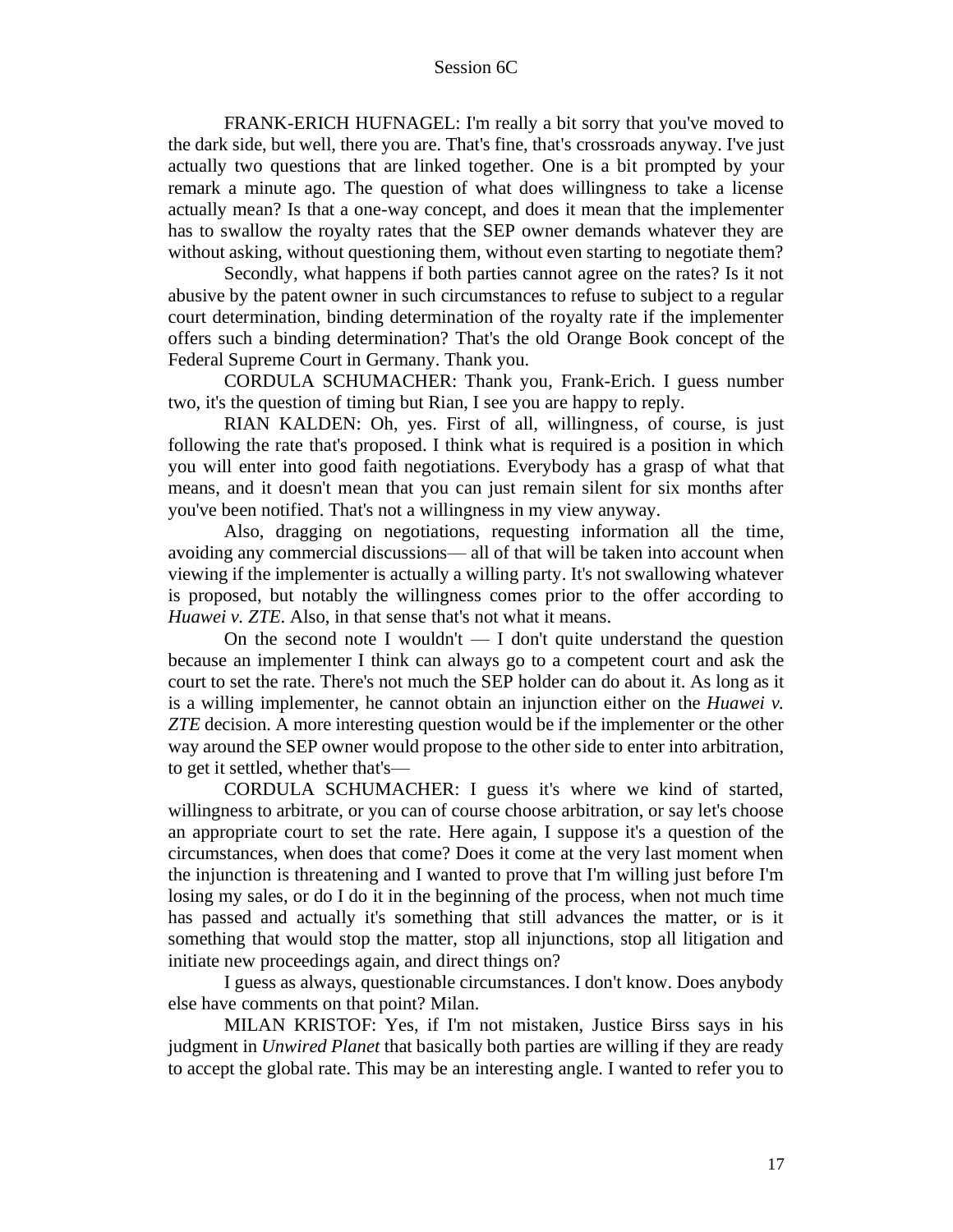FRANK-ERICH HUFNAGEL: I'm really a bit sorry that you've moved to the dark side, but well, there you are. That's fine, that's crossroads anyway. I've just actually two questions that are linked together. One is a bit prompted by your remark a minute ago. The question of what does willingness to take a license actually mean? Is that a one-way concept, and does it mean that the implementer has to swallow the royalty rates that the SEP owner demands whatever they are without asking, without questioning them, without even starting to negotiate them?

Secondly, what happens if both parties cannot agree on the rates? Is it not abusive by the patent owner in such circumstances to refuse to subject to a regular court determination, binding determination of the royalty rate if the implementer offers such a binding determination? That's the old Orange Book concept of the Federal Supreme Court in Germany. Thank you.

CORDULA SCHUMACHER: Thank you, Frank-Erich. I guess number two, it's the question of timing but Rian, I see you are happy to reply.

RIAN KALDEN: Oh, yes. First of all, willingness, of course, is just following the rate that's proposed. I think what is required is a position in which you will enter into good faith negotiations. Everybody has a grasp of what that means, and it doesn't mean that you can just remain silent for six months after you've been notified. That's not a willingness in my view anyway.

Also, dragging on negotiations, requesting information all the time, avoiding any commercial discussions–– all of that will be taken into account when viewing if the implementer is actually a willing party. It's not swallowing whatever is proposed, but notably the willingness comes prior to the offer according to *Huawei v. ZTE.* Also, in that sense that's not what it means.

On the second note I wouldn't  $\overline{a}$  and  $\overline{b}$  and  $\overline{c}$  and  $\overline{c}$  and  $\overline{c}$  are question because an implementer I think can always go to a competent court and ask the court to set the rate. There's not much the SEP holder can do about it. As long as it is a willing implementer, he cannot obtain an injunction either on the *Huawei v. ZTE* decision. A more interesting question would be if the implementer or the other way around the SEP owner would propose to the other side to enter into arbitration, to get it settled, whether that's—

CORDULA SCHUMACHER: I guess it's where we kind of started, willingness to arbitrate, or you can of course choose arbitration, or say let's choose an appropriate court to set the rate. Here again, I suppose it's a question of the circumstances, when does that come? Does it come at the very last moment when the injunction is threatening and I wanted to prove that I'm willing just before I'm losing my sales, or do I do it in the beginning of the process, when not much time has passed and actually it's something that still advances the matter, or is it something that would stop the matter, stop all injunctions, stop all litigation and initiate new proceedings again, and direct things on?

I guess as always, questionable circumstances. I don't know. Does anybody else have comments on that point? Milan.

MILAN KRISTOF: Yes, if I'm not mistaken, Justice Birss says in his judgment in *Unwired Planet* that basically both parties are willing if they are ready to accept the global rate. This may be an interesting angle. I wanted to refer you to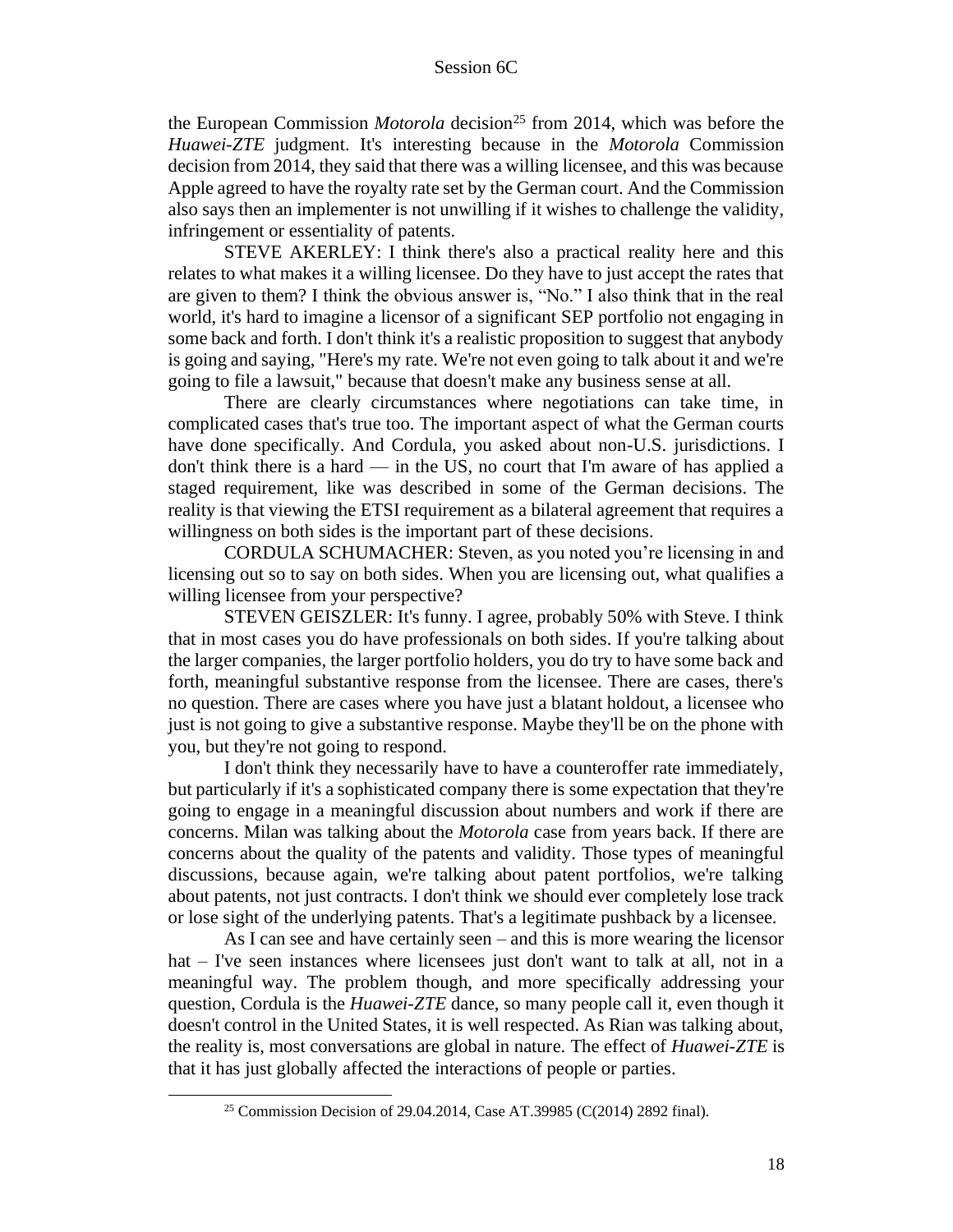the European Commission *Motorola* decision<sup>25</sup> from 2014, which was before the *Huawei-ZTE* judgment. It's interesting because in the *Motorola* Commission decision from 2014, they said that there was a willing licensee, and this was because Apple agreed to have the royalty rate set by the German court. And the Commission also says then an implementer is not unwilling if it wishes to challenge the validity, infringement or essentiality of patents.

STEVE AKERLEY: I think there's also a practical reality here and this relates to what makes it a willing licensee. Do they have to just accept the rates that are given to them? I think the obvious answer is, "No." I also think that in the real world, it's hard to imagine a licensor of a significant SEP portfolio not engaging in some back and forth. I don't think it's a realistic proposition to suggest that anybody is going and saying, "Here's my rate. We're not even going to talk about it and we're going to file a lawsuit," because that doesn't make any business sense at all.

There are clearly circumstances where negotiations can take time, in complicated cases that's true too. The important aspect of what the German courts have done specifically. And Cordula, you asked about non-U.S. jurisdictions. I don't think there is a hard — in the US, no court that I'm aware of has applied a staged requirement, like was described in some of the German decisions. The reality is that viewing the ETSI requirement as a bilateral agreement that requires a willingness on both sides is the important part of these decisions.

CORDULA SCHUMACHER: Steven, as you noted you're licensing in and licensing out so to say on both sides. When you are licensing out, what qualifies a willing licensee from your perspective?

STEVEN GEISZLER: It's funny. I agree, probably 50% with Steve. I think that in most cases you do have professionals on both sides. If you're talking about the larger companies, the larger portfolio holders, you do try to have some back and forth, meaningful substantive response from the licensee. There are cases, there's no question. There are cases where you have just a blatant holdout, a licensee who just is not going to give a substantive response. Maybe they'll be on the phone with you, but they're not going to respond.

I don't think they necessarily have to have a counteroffer rate immediately, but particularly if it's a sophisticated company there is some expectation that they're going to engage in a meaningful discussion about numbers and work if there are concerns. Milan was talking about the *Motorola* case from years back. If there are concerns about the quality of the patents and validity. Those types of meaningful discussions, because again, we're talking about patent portfolios, we're talking about patents, not just contracts. I don't think we should ever completely lose track or lose sight of the underlying patents. That's a legitimate pushback by a licensee.

As I can see and have certainly seen – and this is more wearing the licensor hat – I've seen instances where licensees just don't want to talk at all, not in a meaningful way. The problem though, and more specifically addressing your question, Cordula is the *Huawei-ZTE* dance, so many people call it, even though it doesn't control in the United States, it is well respected. As Rian was talking about, the reality is, most conversations are global in nature. The effect of *Huawei-ZTE* is that it has just globally affected the interactions of people or parties.

<sup>&</sup>lt;sup>25</sup> Commission Decision of 29.04.2014, Case AT.39985 (C(2014) 2892 final).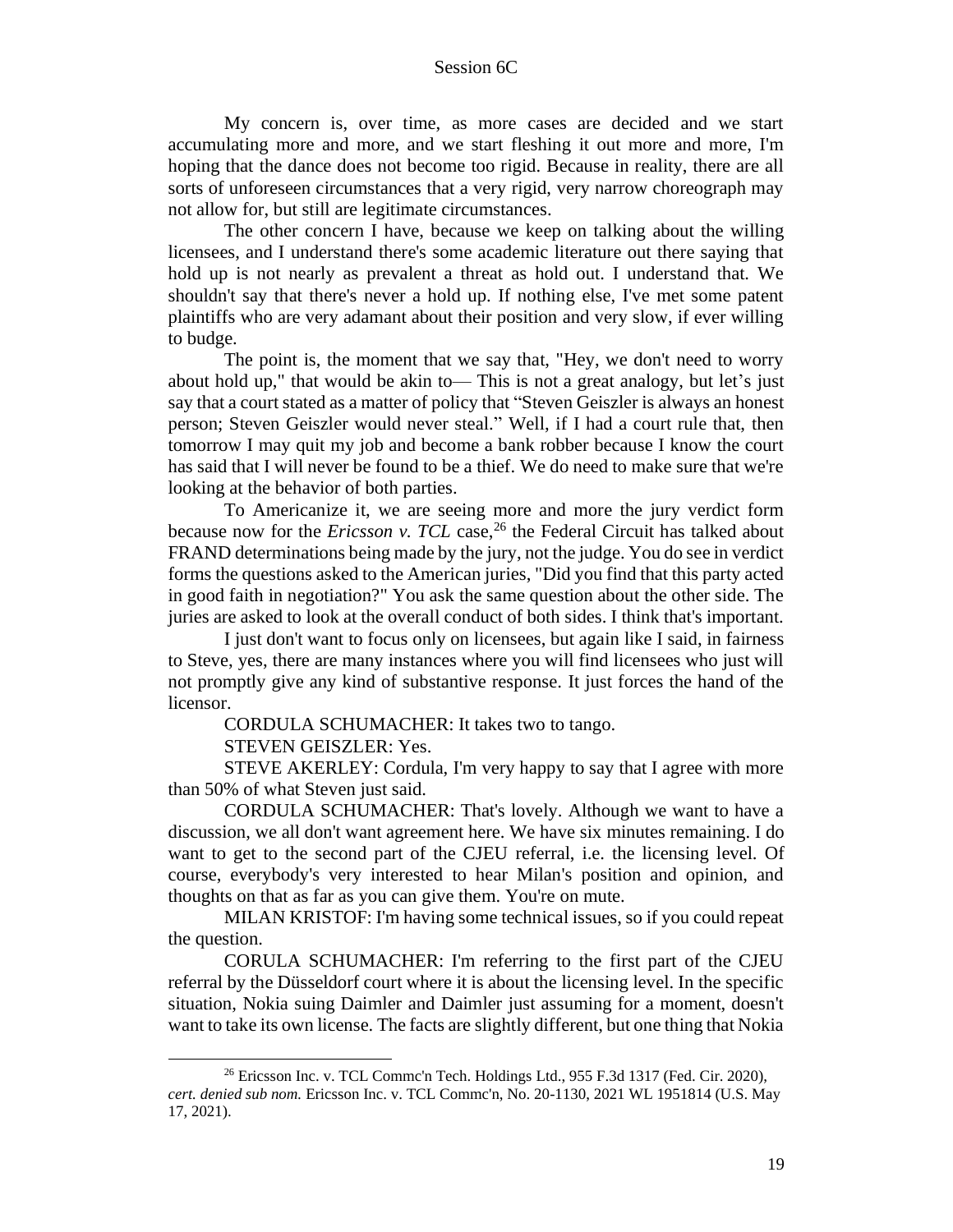My concern is, over time, as more cases are decided and we start accumulating more and more, and we start fleshing it out more and more, I'm hoping that the dance does not become too rigid. Because in reality, there are all sorts of unforeseen circumstances that a very rigid, very narrow choreograph may not allow for, but still are legitimate circumstances.

The other concern I have, because we keep on talking about the willing licensees, and I understand there's some academic literature out there saying that hold up is not nearly as prevalent a threat as hold out. I understand that. We shouldn't say that there's never a hold up. If nothing else, I've met some patent plaintiffs who are very adamant about their position and very slow, if ever willing to budge.

The point is, the moment that we say that, "Hey, we don't need to worry about hold up," that would be akin to— This is not a great analogy, but let's just say that a court stated as a matter of policy that "Steven Geiszler is always an honest person; Steven Geiszler would never steal." Well, if I had a court rule that, then tomorrow I may quit my job and become a bank robber because I know the court has said that I will never be found to be a thief. We do need to make sure that we're looking at the behavior of both parties.

To Americanize it, we are seeing more and more the jury verdict form because now for the *Ericsson v. TCL* case,<sup>26</sup> the Federal Circuit has talked about FRAND determinations being made by the jury, not the judge. You do see in verdict forms the questions asked to the American juries, "Did you find that this party acted in good faith in negotiation?" You ask the same question about the other side. The juries are asked to look at the overall conduct of both sides. I think that's important.

I just don't want to focus only on licensees, but again like I said, in fairness to Steve, yes, there are many instances where you will find licensees who just will not promptly give any kind of substantive response. It just forces the hand of the licensor.

CORDULA SCHUMACHER: It takes two to tango.

STEVEN GEISZLER: Yes.

STEVE AKERLEY: Cordula, I'm very happy to say that I agree with more than 50% of what Steven just said.

CORDULA SCHUMACHER: That's lovely. Although we want to have a discussion, we all don't want agreement here. We have six minutes remaining. I do want to get to the second part of the CJEU referral, i.e. the licensing level. Of course, everybody's very interested to hear Milan's position and opinion, and thoughts on that as far as you can give them. You're on mute.

MILAN KRISTOF: I'm having some technical issues, so if you could repeat the question.

CORULA SCHUMACHER: I'm referring to the first part of the CJEU referral by the Düsseldorf court where it is about the licensing level. In the specific situation, Nokia suing Daimler and Daimler just assuming for a moment, doesn't want to take its own license. The facts are slightly different, but one thing that Nokia

<sup>26</sup> Ericsson Inc. v. TCL Commc'n Tech. Holdings Ltd., 955 F.3d 1317 (Fed. Cir. 2020), *cert. denied sub nom.* Ericsson Inc. v. TCL Commc'n, No. 20-1130, 2021 WL 1951814 (U.S. May 17, 2021).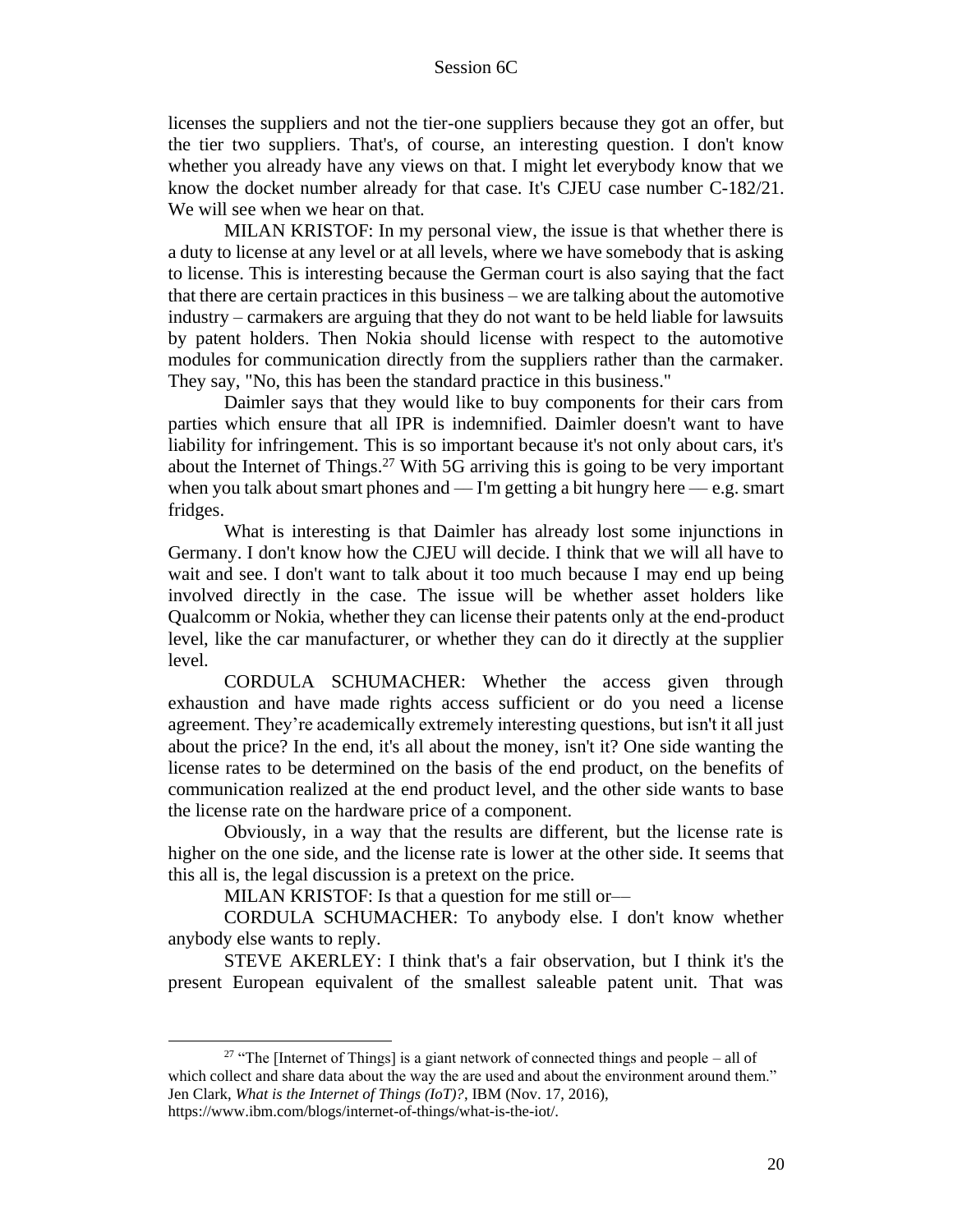licenses the suppliers and not the tier-one suppliers because they got an offer, but the tier two suppliers. That's, of course, an interesting question. I don't know whether you already have any views on that. I might let everybody know that we know the docket number already for that case. It's CJEU case number C-182/21. We will see when we hear on that.

MILAN KRISTOF: In my personal view, the issue is that whether there is a duty to license at any level or at all levels, where we have somebody that is asking to license. This is interesting because the German court is also saying that the fact that there are certain practices in this business – we are talking about the automotive industry – carmakers are arguing that they do not want to be held liable for lawsuits by patent holders. Then Nokia should license with respect to the automotive modules for communication directly from the suppliers rather than the carmaker. They say, "No, this has been the standard practice in this business."

Daimler says that they would like to buy components for their cars from parties which ensure that all IPR is indemnified. Daimler doesn't want to have liability for infringement. This is so important because it's not only about cars, it's about the Internet of Things.<sup>27</sup> With 5G arriving this is going to be very important when you talk about smart phones and  $-$  I'm getting a bit hungry here  $-e.g.$  smart fridges.

What is interesting is that Daimler has already lost some injunctions in Germany. I don't know how the CJEU will decide. I think that we will all have to wait and see. I don't want to talk about it too much because I may end up being involved directly in the case. The issue will be whether asset holders like Qualcomm or Nokia, whether they can license their patents only at the end-product level, like the car manufacturer, or whether they can do it directly at the supplier level.

CORDULA SCHUMACHER: Whether the access given through exhaustion and have made rights access sufficient or do you need a license agreement. They're academically extremely interesting questions, but isn't it all just about the price? In the end, it's all about the money, isn't it? One side wanting the license rates to be determined on the basis of the end product, on the benefits of communication realized at the end product level, and the other side wants to base the license rate on the hardware price of a component.

Obviously, in a way that the results are different, but the license rate is higher on the one side, and the license rate is lower at the other side. It seems that this all is, the legal discussion is a pretext on the price.

MILAN KRISTOF: Is that a question for me still or—

CORDULA SCHUMACHER: To anybody else. I don't know whether anybody else wants to reply.

STEVE AKERLEY: I think that's a fair observation, but I think it's the present European equivalent of the smallest saleable patent unit. That was

<sup>&</sup>lt;sup>27</sup> "The [Internet of Things] is a giant network of connected things and people – all of which collect and share data about the way the are used and about the environment around them." Jen Clark, *What is the Internet of Things (IoT)?*, IBM (Nov. 17, 2016),

https://www.ibm.com/blogs/internet-of-things/what-is-the-iot/.